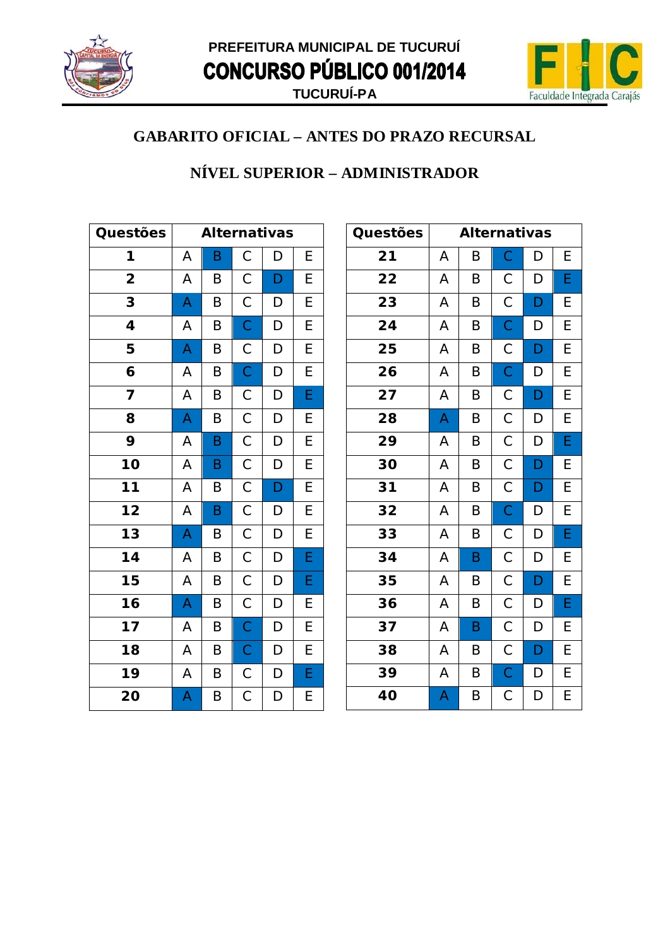



#### NÍVEL SUPERIOR - ADMINISTRADOR

| Questões                    |   | <b>Alternativas</b> |                |              |                         |  |
|-----------------------------|---|---------------------|----------------|--------------|-------------------------|--|
| 1                           | A | B                   | $\mathsf C$    | D            | E                       |  |
| $\overline{\mathbf{2}}$     | A | B                   | $\mathsf C$    | D            | E                       |  |
| 3                           | A | B                   | $\mathsf C$    | D            | $\overline{E}$          |  |
| 4                           | A | B                   | $\overline{C}$ | D            | $\overline{E}$          |  |
| 5                           | A | B                   | $\mathsf{C}$   | D            | $\overline{E}$          |  |
| 6                           | A | B                   | $\overline{C}$ | $\mathsf{D}$ | $\overline{E}$          |  |
| 7                           | Α | Β                   | $\mathsf{C}$   | D            | $\overline{\mathsf{E}}$ |  |
| 8                           | A | B                   | $\overline{C}$ | D            | E                       |  |
| 9                           | A | B                   | $\overline{C}$ | D            | $\overline{E}$          |  |
| 10                          | A | B                   | $\overline{C}$ | D            | $\overline{E}$          |  |
| $\overline{11}$             | A | Β                   | $\overline{C}$ | D            | $\overline{E}$          |  |
| $\overline{12}$             | A | B                   | $\overline{C}$ | D            | $\overline{E}$          |  |
| $\overline{13}$             | A | B                   | $\overline{C}$ | D            | $\overline{E}$          |  |
| 14                          | A | B                   | $\overline{C}$ | D            | E                       |  |
| 15                          | Α | B                   | $\mathsf{C}$   | $\mathsf{D}$ | E                       |  |
| $\overline{\overline{1}}$ 6 | A | B                   | $\mathsf{C}$   | D            | E                       |  |
| 17                          | A | B                   | $\mathsf{C}$   | D            | $\overline{E}$          |  |
| 18                          | A | B                   | $\mathsf{C}$   | D            | $\overline{E}$          |  |
| 19                          | A | B                   | $\mathsf{C}$   | $\mathsf{D}$ | E                       |  |
| 20                          | A | Β                   | $\mathsf C$    | D            | E                       |  |

| Questões |   | <b>Alternativas</b> |                |   |   |
|----------|---|---------------------|----------------|---|---|
| 21       | A | B                   | $\mathsf C$    | D | E |
| 22       | A | B                   | $\mathsf C$    | D | E |
| 23       | A | B                   | $\mathsf C$    | D | E |
| 24       | A | B                   | $\mathsf C$    | D | E |
| 25       | A | B                   | $\mathsf C$    | D | E |
| 26       | A | B                   | $\mathsf C$    | D | Ε |
| 27       | A | B                   | $\mathsf C$    | D | E |
| 28       | A | B                   | $\mathsf C$    | D | E |
| 29       | A | $\sf B$             | $\mathsf C$    | D | E |
| 30       | A | B                   | $\mathsf C$    | D | E |
| 31       | A | B                   | $\mathsf C$    | D | E |
| 32       | A | B                   | $\overline{C}$ | D | E |
| 33       | A | B                   | $\mathsf C$    | D | E |
| 34       | A | B                   | $\mathsf C$    | D | E |
| 35       | A | B                   | $\mathsf C$    | D | E |
| 36       | A | B                   | $\mathsf C$    | D | E |
| 37       | A | B                   | $\mathsf C$    | D | Е |
| 38       | A | B                   | С              | D | Е |
| 39       | A | B                   | $\mathsf C$    | D | E |
| 40       | A | B                   | $\mathsf C$    | D | E |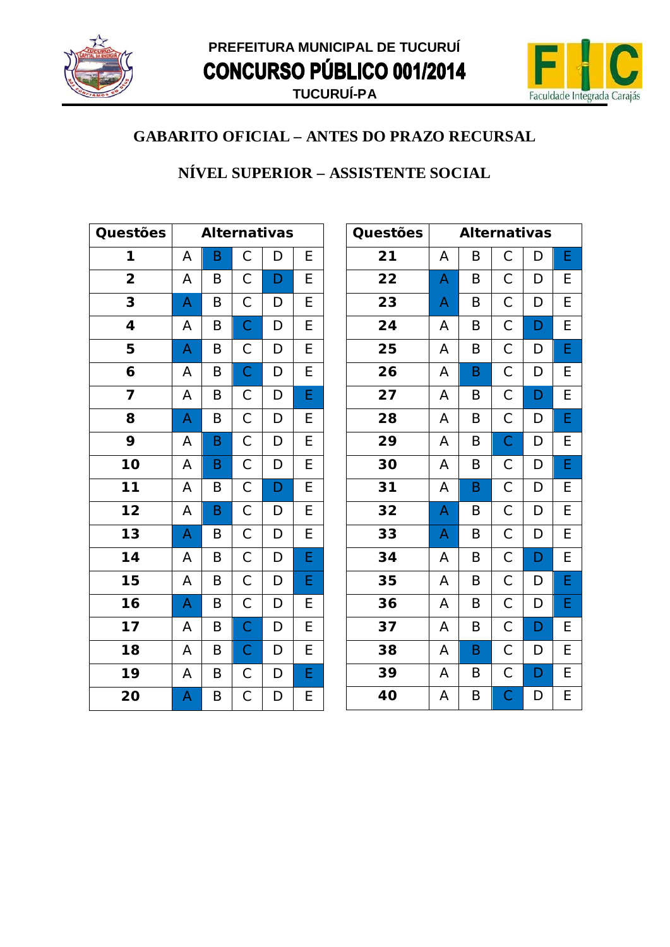



#### NÍVEL SUPERIOR - ASSISTENTE SOCIAL

| Questões                |   |   |                         | <b>Alternativas</b> |                |
|-------------------------|---|---|-------------------------|---------------------|----------------|
| 1                       | A | B | $\mathsf C$             | D                   | E              |
| $\overline{\mathbf{2}}$ | A | B | $\mathsf C$             | D                   | E              |
| 3                       | A | B | $\mathsf C$             | D                   | E              |
| 4                       | A | B | $\overline{C}$          | $\mathsf D$         | E              |
| 5                       | A | B | $\mathsf{C}$            | D                   | $\overline{E}$ |
| 6                       | A | B | $\overline{C}$          | D                   | E              |
| 7                       | A | Β | $\mathsf{C}$            | D                   | E              |
| 8                       | A | B | $\overline{C}$          | D                   | E              |
| 9                       | A | B | $\mathsf{C}$            | D                   | E              |
| 10                      | A | B | $\mathsf C$             | D                   | E              |
| 11                      | A | Β | $\mathsf{C}$            | D                   | $\overline{E}$ |
| $\overline{12}$         | A | B | $\overline{\mathsf{C}}$ | D                   | $\overline{E}$ |
| $\overline{13}$         | A | B | $\mathsf C$             | D                   | $\overline{E}$ |
| 14                      | A | B | $\mathsf C$             | D                   | E              |
| 15                      | A | B | $\mathsf C$             | D                   | E              |
| 16                      | A | B | $\mathsf{C}$            | D                   | E              |
| 17                      | A | B | $\overline{C}$          | D                   | $\overline{E}$ |
| 18                      | A | B | $\mathsf{C}$            | D                   | $\overline{E}$ |
| 19                      | Α | B | $\mathsf{C}$            | D                   | E              |
| 20                      | A | Β | $\mathsf C$             | D                   | E              |

| Questões |   | <b>Alternativas</b> |                       |   |   |
|----------|---|---------------------|-----------------------|---|---|
| 21       | Α | B                   | С                     | D | E |
| 22       | A | B                   | $\mathsf C$           | D | E |
| 23       | A | B                   | $\mathsf C$           | D | E |
| 24       | Α | B                   | $\mathsf{C}$          | D | E |
| 25       | A | B                   | $\overline{C}$        | D | E |
| 26       | Α | B                   | $\mathsf{C}$          | D | E |
| 27       | Α | B                   | $\mathsf C$           | D | E |
| 28       | Α | B                   | $\mathsf{C}$          | D | E |
| 29       | A | B                   | $\overline{C}$        | D | E |
| 30       | A | B                   | $\mathsf C$           | D | E |
| 31       | Α | B                   | $\mathsf{C}$          | D | E |
| 32       | A | B                   | $\mathsf{C}$          | D | E |
| 33       | A | B                   | $\overline{C}$        | D | E |
| 34       | A | B                   | $\overline{C}$        | D | E |
| 35       | Α | B                   | $\mathsf{C}$          | D | E |
| 36       | Α | B                   | $\mathsf C$           | D | E |
| 37       | Α | B                   | $\mathsf C$           | D | E |
| 38       | A | B                   | $\mathsf C$           | D | E |
| 39       | A | B                   | $\mathsf{C}$          | D | E |
| 40       | A | B                   | $\overline{\text{C}}$ | D | E |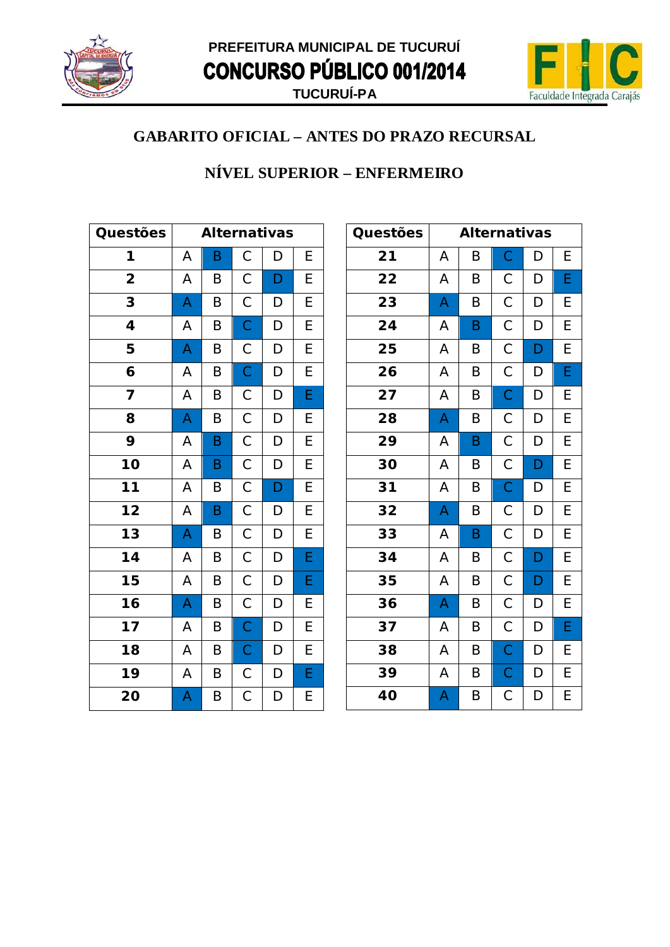



#### NÍVEL SUPERIOR - ENFERMEIRO

| Questões                |   | <b>Alternativas</b> |                         |              |                |  |
|-------------------------|---|---------------------|-------------------------|--------------|----------------|--|
| 1                       | A | B                   | $\mathsf C$             | D            | E              |  |
| $\overline{\mathbf{2}}$ | Α | B                   | $\mathsf C$             | D            | E              |  |
| 3                       | A | B                   | $\mathsf C$             | D            | E              |  |
| 4                       | A | B                   | $\overline{C}$          | D            | $\overline{E}$ |  |
| 5                       | A | Β                   | $\mathsf C$             | D            | E              |  |
| 6                       | A | B                   | $\mathsf{C}$            | $\mathsf{D}$ | E              |  |
| 7                       | A | Β                   | $\mathsf C$             | D            | E              |  |
| 8                       | A | B                   | $\mathsf{C}$            | D            | E              |  |
| 9                       | A | B                   | $\mathsf C$             | D            | E              |  |
| 10                      | A | B                   | $\overline{C}$          | D            | $\overline{E}$ |  |
| 11                      | Α | B                   | $\mathsf{C}$            | D            | E              |  |
| $\overline{12}$         | A | B                   | $\overline{\mathsf{C}}$ | D            | $\overline{E}$ |  |
| $\overline{13}$         | A | B                   | $\mathsf C$             | D            | $\overline{E}$ |  |
| 14                      | A | B                   | $\mathsf C$             | $\mathsf{D}$ | E              |  |
| 15                      | A | B                   | $\mathsf C$             | $\mathsf{D}$ | E              |  |
| $\overline{16}$         | A | B                   | $\overline{C}$          | D            | E              |  |
| $17$                    | A | B                   | $\overline{C}$          | D            | E              |  |
| 18                      | A | Β                   | $\mathsf{C}$            | D            | E              |  |
| 19                      | A | B                   | $\mathsf{C}$            | D            | E              |  |
| 20                      | A | Β                   | $\mathsf C$             | D            | E              |  |

| Questões |   | <b>Alternativas</b> |                |   |   |
|----------|---|---------------------|----------------|---|---|
| 21       | Α | B                   | C              | D | Е |
| 22       | Α | B                   | $\mathsf C$    | D | E |
| 23       | A | B                   | $\mathsf{C}$   | D | E |
| 24       | Α | B                   | $\mathsf C$    | D | E |
| 25       | A | B                   | $\mathsf C$    | D | E |
| 26       | A | B                   | $\mathsf C$    | D | E |
| 27       | A | B                   | $\mathsf{C}$   | D | E |
| 28       | A | B                   | С              | D | E |
| 29       | Α | B                   | $\mathsf C$    | D | E |
| 30       | A | B                   | $\mathsf C$    | D | E |
| 31       | A | $\sf B$             | $\overline{C}$ | D | E |
| 32       | A | B                   | $\mathsf C$    | D | E |
| 33       | Α | B                   | $\mathsf{C}$   | D | Е |
| 34       | A | B                   | $\mathsf{C}$   | D | E |
| 35       | A | B                   | $\mathsf C$    | D | Е |
| 36       | A | B                   | $\mathsf C$    | D | E |
| 37       | Α | B                   | $\mathsf C$    | D | E |
| 38       | A | B                   | $\mathsf C$    | D | E |
| 39       | Α | B                   | $\mathsf{C}$   | D | E |
| 40       | A | B                   | $\mathsf C$    | D | E |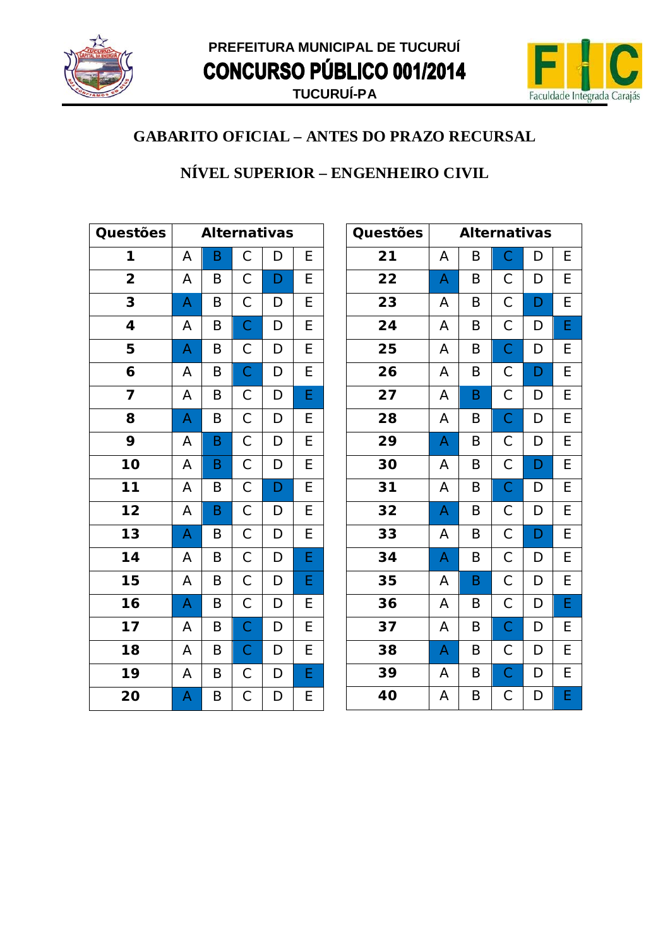



#### NÍVEL SUPERIOR - ENGENHEIRO CIVIL

| Questões                |   |   |                | <b>Alternativas</b> |                |
|-------------------------|---|---|----------------|---------------------|----------------|
| 1                       | A | B | $\mathsf C$    | D                   | E              |
| $\overline{\mathbf{2}}$ | A | B | $\mathsf C$    | D                   | E              |
| 3                       | A | B | $\overline{C}$ | D                   | E              |
| 4                       | A | B | $\overline{C}$ | D                   | E              |
| 5                       | A | B | $\mathsf{C}$   | D                   | E              |
| 6                       | A | B | $\mathsf{C}$   | $\mathsf{D}$        | E              |
| 7                       | A | B | $\mathsf{C}$   | D                   | E              |
| 8                       | A | B | $\overline{C}$ | D                   | E              |
| 9                       | A | B | $\mathsf{C}$   | $\mathsf{D}$        | E              |
| 10                      | A | B | $\overline{C}$ | D                   | $\overline{E}$ |
| $11$                    | A | B | $\mathsf{C}$   | $\mathsf{D}$        | E              |
| $\overline{12}$         | A | B | $\overline{C}$ | D                   | E              |
| $\overline{13}$         | A | B | $\overline{C}$ | D                   | $\overline{E}$ |
| 14                      | A | B | $\mathsf{C}$   | D                   | E              |
| 15                      | A | B | $\mathsf{C}$   | D                   | E              |
| 16                      | A | B | $\mathsf{C}$   | D                   | E              |
| 17                      | A | B | $\overline{C}$ | D                   | E              |
| 18                      | A | B | $\overline{C}$ | D                   | $\overline{E}$ |
| 19                      | Α | B | $\mathsf{C}$   | D                   | E              |
| 20                      | A | Β | $\mathsf C$    | D                   | E              |

| Questões |   | <b>Alternativas</b> |                |   |   |
|----------|---|---------------------|----------------|---|---|
| 21       | Α | B                   | $\mathsf C$    | D | Е |
| 22       | A | B                   | $\mathsf C$    | D | E |
| 23       | Α | B                   | $\mathsf C$    | D | E |
| 24       | A | B                   | $\mathsf C$    | D | E |
| 25       | A | B                   | $\mathsf C$    | D | E |
| 26       | A | B                   | $\mathsf C$    | D | E |
| 27       | Α | B                   | $\mathsf C$    | D | E |
| 28       | A | B                   | $\mathsf C$    | D | E |
| 29       | A | B                   | $\mathsf C$    | D | E |
| 30       | A | B                   | $\mathsf C$    | D | E |
| 31       | Α | B                   | $\mathsf C$    | D | E |
| 32       | A | B                   | $\mathsf C$    | D | E |
| 33       | Α | B                   | $\mathsf C$    | D | E |
| 34       | A | B                   | $\mathsf C$    | D | E |
| 35       | Α | B                   | $\mathsf C$    | D | E |
| 36       | Α | B                   | $\mathsf C$    | D | E |
| 37       | А | B                   | $\mathsf C$    | D | E |
| 38       | A | B                   | $\mathsf C$    | D | E |
| 39       | A | B                   | $\overline{C}$ | D | E |
| 40       | A | B                   | $\mathsf C$    | D | E |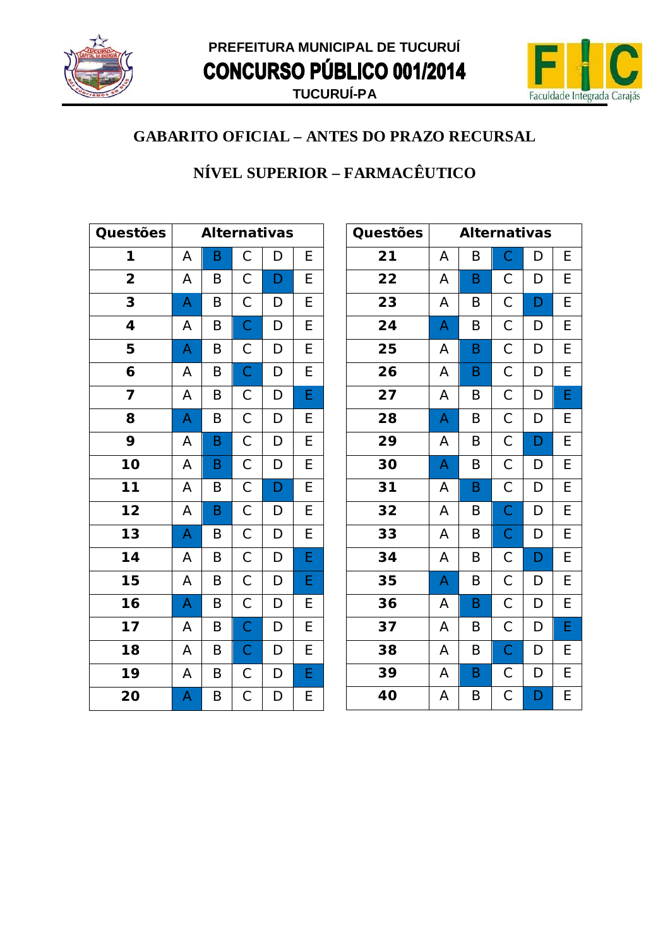



### NÍVEL SUPERIOR - FARMACÊUTICO

| Questões                |   |   |                         | <b>Alternativas</b> |                |
|-------------------------|---|---|-------------------------|---------------------|----------------|
| 1                       | A | B | $\mathsf C$             | D                   | E              |
| $\overline{\mathbf{2}}$ | A | B | $\mathsf C$             | D                   | E              |
| 3                       | A | B | $\mathsf C$             | D                   | E              |
| 4                       | A | B | $\overline{C}$          | $\mathsf D$         | E              |
| 5                       | A | B | $\mathsf{C}$            | D                   | $\overline{E}$ |
| 6                       | A | B | $\overline{C}$          | D                   | E              |
| 7                       | A | Β | $\mathsf{C}$            | D                   | E              |
| 8                       | A | B | $\overline{C}$          | D                   | E              |
| 9                       | A | B | $\mathsf{C}$            | D                   | E              |
| 10                      | A | B | $\mathsf C$             | D                   | E              |
| 11                      | A | Β | $\mathsf{C}$            | D                   | $\overline{E}$ |
| $\overline{12}$         | A | B | $\overline{\mathsf{C}}$ | D                   | $\overline{E}$ |
| $\overline{13}$         | A | B | $\mathsf C$             | D                   | $\overline{E}$ |
| 14                      | A | B | $\mathsf C$             | D                   | E              |
| 15                      | A | B | $\mathsf C$             | D                   | E              |
| 16                      | A | B | $\mathsf{C}$            | D                   | E              |
| 17                      | A | B | $\overline{C}$          | D                   | $\overline{E}$ |
| 18                      | A | B | $\mathsf{C}$            | D                   | $\overline{E}$ |
| 19                      | Α | B | $\mathsf{C}$            | D                   | E              |
| 20                      | A | Β | $\mathsf C$             | D                   | E              |

| Questões |   | <b>Alternativas</b> |                |   |   |
|----------|---|---------------------|----------------|---|---|
| 21       | А | B                   | $\overline{C}$ | D | Е |
| 22       | A | B                   | $\mathsf C$    | D | Е |
| 23       | A | B                   | $\mathsf C$    | D | E |
| 24       | A | B                   | $\mathsf{C}$   | D | E |
| 25       | A | B                   | $\overline{C}$ | D | E |
| 26       | Α | B                   | $\mathsf C$    | D | E |
| 27       | Α | B                   | $\mathsf C$    | D | E |
| 28       | A | B                   | $\mathsf C$    | D | E |
| 29       | A | B                   | $\mathsf C$    | D | E |
| 30       | A | $\sf B$             | $\mathsf C$    | D | E |
| 31       | А | B                   | $\mathsf C$    | D | E |
| 32       | A | B                   | $\overline{C}$ | D | E |
| 33       | Α | B                   | $\mathsf{C}$   | D | E |
| 34       | A | B                   | $\mathsf{C}$   | D | E |
| 35       | A | B                   | $\mathsf C$    | D | Е |
| 36       | A | B                   | $\mathsf C$    | D | E |
| 37       | A | B                   | $\mathsf C$    | D | E |
| 38       | A | B                   | $\mathsf{C}$   | D | Е |
| 39       | A | $\sf B$             | $\mathsf C$    | D | E |
| 40       | A | B                   | $\mathsf C$    | D | E |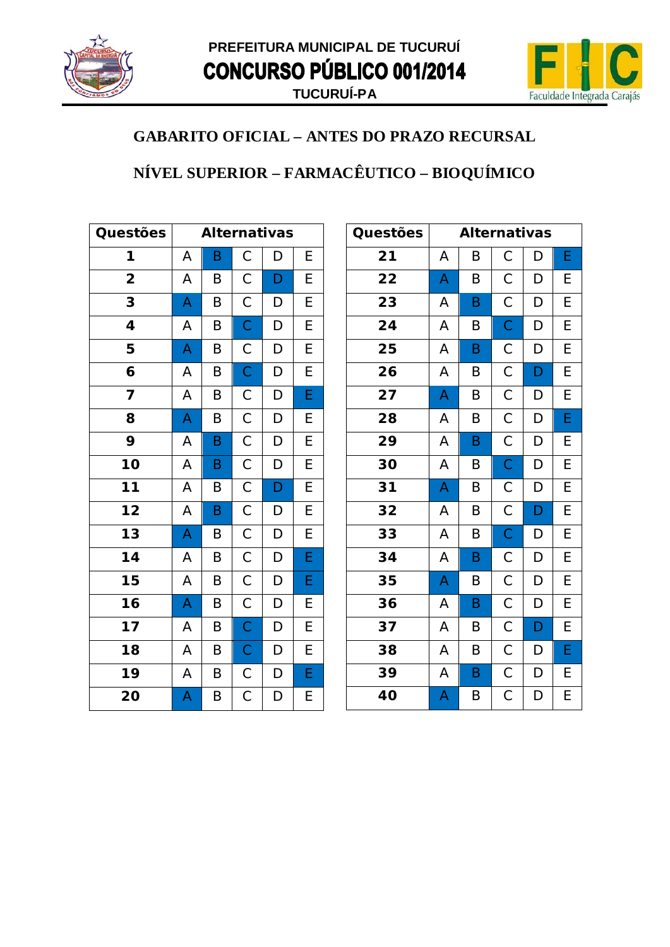



# NÍVEL SUPERIOR - FARMACÊUTICO - BIOQUÍMICO

| Questões                |                         | <b>Alternativas</b> |                |                |                |
|-------------------------|-------------------------|---------------------|----------------|----------------|----------------|
| 1                       | Α                       | Β                   | $\mathsf C$    | D              | E              |
| $\overline{\mathbf{2}}$ | A                       | B                   | $\mathsf C$    | $\mathsf{D}$   | E              |
| 3                       | A                       | B                   | $\mathsf C$    | D              | $\overline{E}$ |
| 4                       | A                       | B                   | $\overline{C}$ | $\mathsf{D}$   | $\overline{E}$ |
| 5                       | A                       | B                   | $\overline{C}$ | D              | $\overline{E}$ |
| 6                       | A                       | B                   | $\overline{C}$ | $\mathsf{D}$   | $\overline{E}$ |
| $\overline{\mathbf{z}}$ | A                       | B                   | $\overline{C}$ | D              | E              |
| 8                       | $\overline{\mathsf{A}}$ | B                   | $\overline{C}$ | $\mathsf{D}$   | E              |
| 9                       | A                       | B                   | $\overline{C}$ | $\mathsf{D}$   | $\overline{E}$ |
| 10                      | A                       | B                   | $\overline{C}$ | D              | $\overline{E}$ |
| $\overline{11}$         | A                       | Β                   | $\overline{C}$ | $\mathsf{D}$   | $\overline{E}$ |
| $\overline{12}$         | A                       | B                   | $\overline{C}$ | $\overline{D}$ | $\overline{E}$ |
| $\overline{13}$         | A                       | B                   | $\overline{C}$ | D              | $\overline{E}$ |
| $\overline{14}$         | A                       | B                   | $\overline{C}$ | D              | E              |
| $\overline{15}$         | A                       | B                   | $\overline{C}$ | $\overline{D}$ | E              |
| $\overline{16}$         | A                       | B                   | $\overline{C}$ | D              | E              |
| $\overline{17}$         | A                       | B                   | $\overline{C}$ | D              | $\overline{E}$ |
| 18                      | A                       | B                   | $\mathsf{C}$   | D              | $\overline{E}$ |
| 19                      | A                       | B                   | $\mathsf{C}$   | $\mathsf{D}$   | E              |
| 20                      | A                       | Β                   | $\mathsf C$    | D              | E              |

| Questões |   | <b>Alternativas</b> |             |   |   |
|----------|---|---------------------|-------------|---|---|
| 21       | Α | B                   | С           | D | Е |
| 22       | A | B                   | С           | D | Е |
| 23       | A | B                   | $\mathsf C$ | D | E |
| 24       | Α | B                   | $\mathsf C$ | D | Е |
| 25       | A | $\sf B$             | $\mathsf C$ | D | E |
| 26       | A | B                   | $\mathsf C$ | D | E |
| 27       | A | $\sf B$             | $\mathsf C$ | D | E |
| 28       | A | B                   | $\mathsf C$ | D | E |
| 29       | A | B                   | $\mathsf C$ | D | E |
| 30       | A | B                   | $\mathsf C$ | D | Е |
| 31       | A | $\sf B$             | $\mathsf C$ | D | E |
| 32       | A | B                   | $\mathsf C$ | D | E |
| 33       | A | B                   | $\mathsf C$ | D | Е |
| 34       | A | $\mathsf B$         | $\mathsf C$ | D | E |
| 35       | A | B                   | $\mathsf C$ | D | E |
| 36       | Α | B                   | $\mathsf C$ | D | E |
| 37       | Α | B                   | С           | D | E |
| 38       | A | B                   | $\mathsf C$ | D | E |
| 39       | A | $\sf B$             | $\mathsf C$ | D | E |
| 40       | A | B                   | $\mathsf C$ | D | E |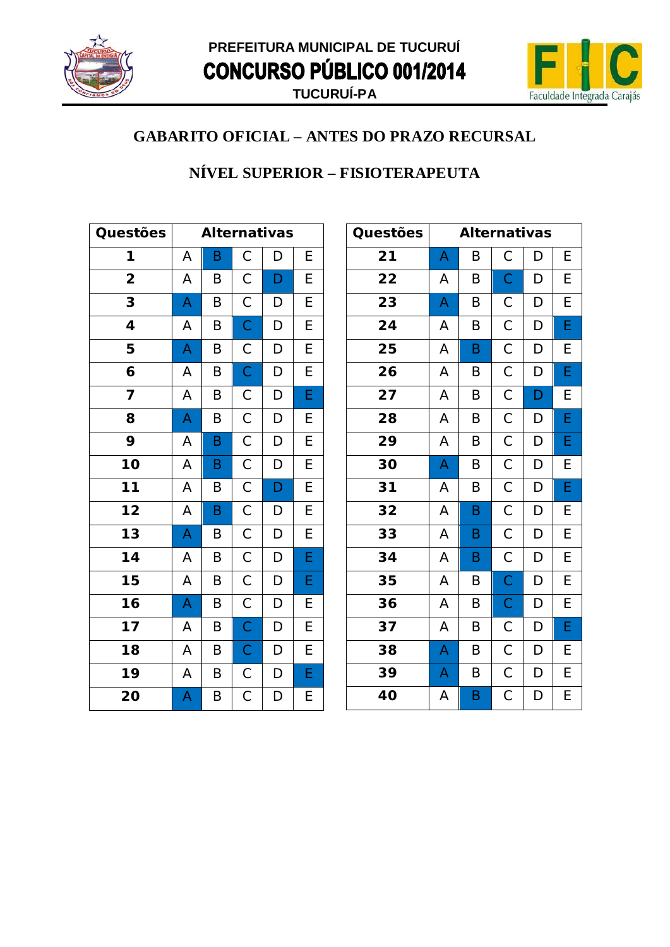



#### NÍVEL SUPERIOR - FISIOTERAPEUTA

| Questões                |   | <b>Alternativas</b> |                         |             |                |  |
|-------------------------|---|---------------------|-------------------------|-------------|----------------|--|
| 1                       | A | B                   | $\mathsf C$             | D           | E              |  |
| $\overline{\mathbf{2}}$ | A | B                   | $\mathsf C$             | D           | E              |  |
| 3                       | A | B                   | $\mathsf C$             | D           | E              |  |
| 4                       | A | B                   | $\overline{C}$          | $\mathsf D$ | E              |  |
| 5                       | A | B                   | $\mathsf{C}$            | D           | $\overline{E}$ |  |
| 6                       | A | B                   | $\overline{C}$          | D           | E              |  |
| 7                       | A | Β                   | $\mathsf{C}$            | D           | E              |  |
| 8                       | A | B                   | $\overline{C}$          | D           | E              |  |
| 9                       | A | B                   | $\mathsf{C}$            | D           | E              |  |
| 10                      | A | B                   | $\mathsf C$             | D           | E              |  |
| 11                      | A | Β                   | $\mathsf{C}$            | D           | $\overline{E}$ |  |
| $\overline{12}$         | A | B                   | $\overline{\mathsf{C}}$ | D           | $\overline{E}$ |  |
| $\overline{13}$         | A | B                   | $\mathsf C$             | D           | $\overline{E}$ |  |
| 14                      | A | B                   | $\mathsf C$             | D           | E              |  |
| 15                      | A | B                   | $\mathsf C$             | D           | E              |  |
| 16                      | A | B                   | $\mathsf{C}$            | D           | E              |  |
| 17                      | A | B                   | $\overline{C}$          | D           | $\overline{E}$ |  |
| 18                      | A | B                   | $\mathsf{C}$            | D           | $\overline{E}$ |  |
| 19                      | Α | B                   | $\mathsf{C}$            | D           | E              |  |
| 20                      | A | Β                   | $\mathsf C$             | D           | E              |  |

| Questões |   | <b>Alternativas</b> |                |   |   |
|----------|---|---------------------|----------------|---|---|
| 21       | A | B                   | $\mathsf C$    | D | Ε |
| 22       | Α | B                   | $\mathsf{C}$   | D | E |
| 23       | A | B                   | С              | D | E |
| 24       | А | B                   | $\mathsf C$    | D | E |
| 25       | A | B                   | $\mathsf{C}$   | D | E |
| 26       | Α | B                   | $\mathsf{C}$   | D | E |
| 27       | A | B                   | $\mathsf{C}$   | D | E |
| 28       | Α | B                   | $\mathsf{C}$   | D | E |
| 29       | A | B                   | $\overline{C}$ | D | E |
| 30       | A | B                   | $\mathsf C$    | D | E |
| 31       | А | B                   | $\mathsf C$    | D | E |
| 32       | A | B                   | $\mathsf C$    | D | E |
| 33       | Α | B                   | $\mathsf{C}$   | D | E |
| 34       | A | B                   | $\overline{C}$ | D | E |
| 35       | Α | B                   | $\mathsf{C}$   | D | E |
| 36       | Α | B                   | $\overline{C}$ | D | E |
| 37       | Α | B                   | $\mathsf C$    | D | E |
| 38       | A | B                   | $\mathsf C$    | D | E |
| 39       | A | B                   | $\mathsf C$    | D | E |
| 40       | A | B                   | $\mathsf C$    | D | E |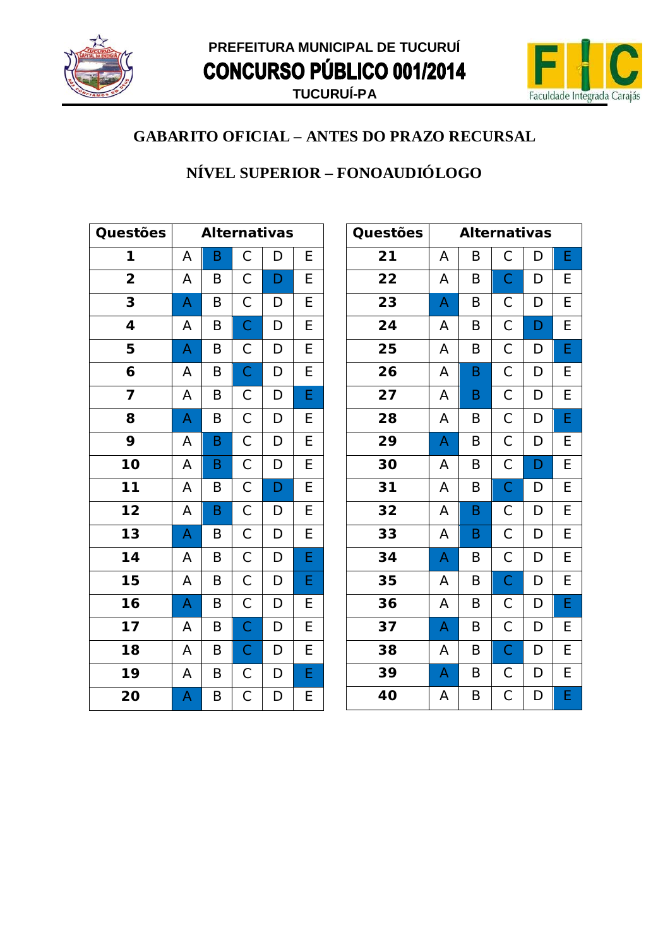



### NÍVEL SUPERIOR - FONOAUDIÓLOGO

| Questões                |   |   |                | <b>Alternativas</b> |                |
|-------------------------|---|---|----------------|---------------------|----------------|
| 1                       | A | B | $\mathsf{C}$   | D                   | E              |
| $\overline{\mathbf{2}}$ | A | B | $\mathsf C$    | D                   | E              |
| 3                       | A | B | $\mathsf C$    | D                   | E              |
| 4                       | A | B | $\overline{C}$ | $\mathsf D$         | $\overline{E}$ |
| 5                       | A | B | $\mathsf{C}$   | D                   | $\overline{E}$ |
| 6                       | A | B | $\overline{C}$ | D                   | E              |
| 7                       | A | Β | $\mathsf{C}$   | D                   | E              |
| 8                       | A | B | $\overline{C}$ | D                   | E              |
| 9                       | A | B | $\overline{C}$ | D                   | E              |
| 10                      | A | B | $\overline{C}$ | D                   | $\overline{E}$ |
| $\overline{11}$         | A | B | $\overline{C}$ | D                   | $\overline{E}$ |
| $\overline{12}$         | A | B | $\overline{C}$ | D                   | $\overline{E}$ |
| $\overline{13}$         | A | B | $\mathsf C$    | D                   | $\overline{E}$ |
| $14$                    | A | B | $\mathsf{C}$   | D                   | $\overline{E}$ |
| 15                      | A | B | $\mathsf C$    | $\mathsf D$         | E              |
| 16                      | A | B | $\mathsf{C}$   | D                   | E              |
| $\overline{17}$         | A | B | $\overline{C}$ | D                   | $\overline{E}$ |
| 18                      | A | B | $\mathsf{C}$   | D                   | $\overline{E}$ |
| 19                      | A | B | $\mathsf{C}$   | D                   | E              |
| 20                      | A | Β | $\mathsf C$    | D                   | E              |

| Questões |   | <b>Alternativas</b> |                |   |   |
|----------|---|---------------------|----------------|---|---|
| 21       | А | B                   | С              | D | Ε |
| 22       | А | B                   | $\mathsf{C}$   | D | Е |
| 23       | A | B                   | $\mathsf C$    | D | E |
| 24       | Α | B                   | $\mathsf{C}$   | D | E |
| 25       | A | B                   | $\overline{C}$ | D | E |
| 26       | Α | B                   | $\mathsf C$    | D | E |
| 27       | Α | B                   | $\mathsf C$    | D | E |
| 28       | А | B                   | $\mathsf C$    | D | E |
| 29       | A | B                   | $\mathsf C$    | D | E |
| 30       | A | $\sf B$             | $\mathsf C$    | D | E |
| 31       | А | B                   | $\mathsf C$    | D | E |
| 32       | Α | B                   | $\mathsf C$    | D | E |
| 33       | Α | B                   | $\mathsf C$    | D | E |
| 34       | A | B                   | $\mathsf{C}$   | D | E |
| 35       | А | B                   | $\mathsf C$    | D | E |
| 36       | А | B                   | $\mathsf C$    | D | E |
| 37       | A | B                   | $\mathsf C$    | D | E |
| 38       | A | B                   | $\mathsf{C}$   | D | E |
| 39       | A | B                   | $\mathsf C$    | D | E |
| 40       | A | B                   | С              | D | E |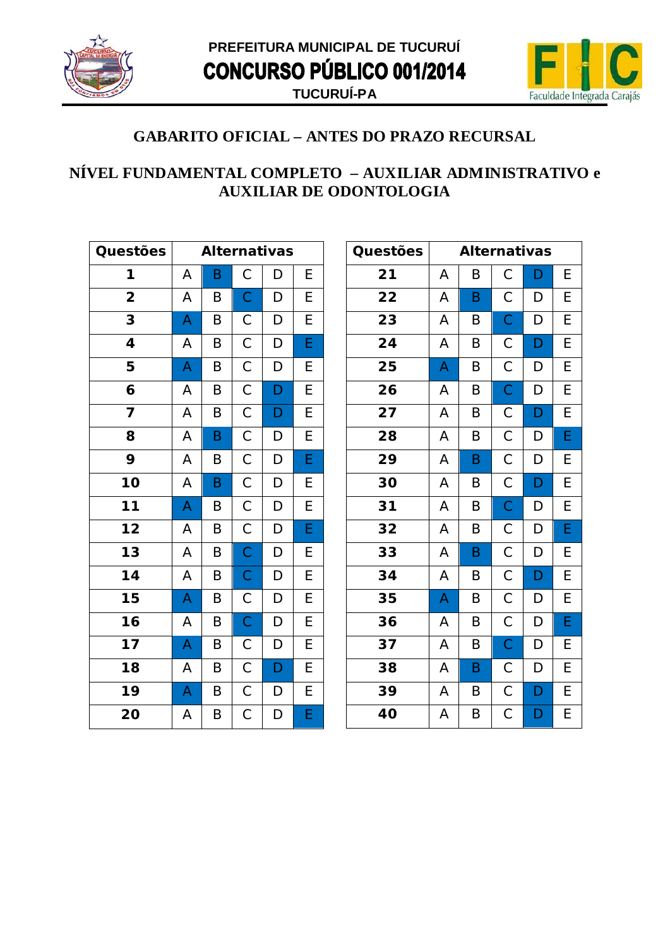



#### NÍVEL FUNDAMENTAL COMPLETO - AUXILIAR ADMINISTRATIVO e **AUXILIAR DE ODONTOLOGIA**

| Questões        |   | <b>Alternativas</b> |                |   |                |  |
|-----------------|---|---------------------|----------------|---|----------------|--|
| 1               | A | B                   | $\mathsf C$    | D | E              |  |
| 2               | A | B                   | $\overline{C}$ | D | E              |  |
| 3               | A | B                   | $\mathsf C$    | D | E              |  |
| 4               | A | B                   | $\mathsf C$    | D | E              |  |
| 5               | A | B                   | $\mathsf C$    | D | E              |  |
| 6               | A | B                   | $\mathsf C$    | D | E              |  |
| 7               | A | B                   | $\mathsf C$    | D | $\overline{E}$ |  |
| 8               | A | B                   | $\mathsf C$    | D | E              |  |
| 9               | A | B                   | $\mathsf{C}$   | D | Ė              |  |
| 10              | A | B                   | $\mathsf C$    | D | E              |  |
| 11              | A | Β                   | $\mathsf{C}$   | D | E              |  |
| $\overline{12}$ | A | B                   | $\overline{C}$ | D | E              |  |
| $\overline{1}3$ | A | B                   | $\mathsf{C}$   | D | E              |  |
| 14              | A | B                   | $\mathsf{C}$   | D | E              |  |
| 15              | A | B                   | $\mathsf{C}$   | D | E              |  |
| $\overline{16}$ | A | B                   | $\mathsf C$    | D | E              |  |
| 17              | A | B                   | $\mathsf C$    | D | E              |  |
| 18              | A | B                   | $\mathsf C$    | D | E              |  |
| 19              | A | B                   | $\mathsf{C}$   | D | E              |  |
| 20              | A | B                   | $\mathsf C$    | D | Ė              |  |

| Questões |   | <b>Alternativas</b> |                         |   |   |
|----------|---|---------------------|-------------------------|---|---|
| 21       | Α | Β                   | $\mathsf C$             | D | Е |
| 22       | А | B                   | С                       | D | E |
| 23       | A | B                   | $\mathsf C$             | D | E |
| 24       | A | B                   | $\mathsf C$             | D | Е |
| 25       | A | B                   | $\overline{C}$          | D | E |
| 26       | А | B                   | $\mathsf C$             | D | Е |
| 27       | Α | B                   | $\mathsf C$             | D | E |
| 28       | А | B                   | $\mathsf C$             | D | E |
| 29       | A | B                   | $\mathsf C$             | D | Е |
| 30       | A | B                   | $\mathsf C$             | D | E |
| 31       | A | B                   | $\mathsf C$             | D | E |
| 32       | Α | B                   | $\mathsf C$             | D | E |
| 33       | А | B                   | $\mathsf C$             | D | E |
| 34       | Α | B                   | $\mathsf C$             | D | E |
| 35       | A | B                   | $\mathsf C$             | D | Е |
| 36       | А | B                   | $\mathsf C$             | D | E |
| 37       | A | B                   | $\mathsf C$             | D | Е |
| 38       | Α | B                   | $\mathsf C$             | D | Е |
| 39       | A | B                   | $\mathsf C$             | D | E |
| 40       | A | B                   | $\overline{\mathrm{C}}$ | D | E |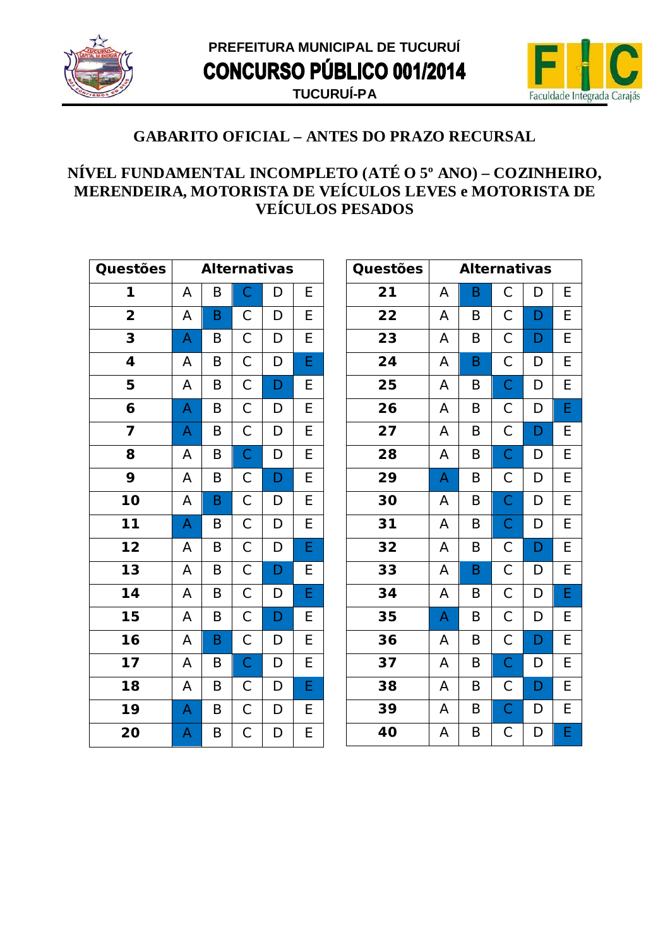



#### NÍVEL FUNDAMENTAL INCOMPLETO (ATÉ O 5° ANO) – COZINHEIRO, MERENDEIRA, MOTORISTA DE VEÍCULOS LEVES e MOTORISTA DE **VEÍCULOS PESADOS**

| Questões                |   | <b>Alternativas</b> |                |   |                |  |
|-------------------------|---|---------------------|----------------|---|----------------|--|
| 1                       | Α | Β                   | $\mathsf C$    | D | E              |  |
| $\overline{\mathbf{2}}$ | A | B                   | $\overline{C}$ | D | E              |  |
| 3                       | A | B                   | $\mathsf C$    | D | E              |  |
| 4                       | A | B                   | $\mathsf{C}$   | D | Ė              |  |
| 5                       | A | B                   | $\mathsf{C}$   | D | E              |  |
| 6                       | A | B                   | $\mathsf{C}$   | D | E              |  |
| 7                       | A | B                   | $\mathsf C$    | D | E              |  |
| 8                       | A | B                   | $\overline{C}$ | D | E              |  |
| 9                       | A | B                   | $\mathsf{C}$   | D | E              |  |
| 10                      | A | B                   | $\overline{C}$ | D | E              |  |
| 11                      | A | B                   | $\mathsf{C}$   | D | E              |  |
| $\overline{12}$         | A | B                   | $\overline{C}$ | D | $\overline{E}$ |  |
| $\overline{13}$         | A | B                   | $\mathsf{C}$   | D | E              |  |
| 14                      | A | B                   | $\mathsf{C}$   | D | Ė              |  |
| 15                      | A | B                   | $\mathsf{C}$   | D | E              |  |
| $\overline{16}$         | A | B                   | $\overline{C}$ | D | E              |  |
| 17                      | A | B                   | $\overline{C}$ | D | E              |  |
| 18                      | A | B                   | $\mathsf{C}$   | D | Ė              |  |
| 19                      | A | B                   | $\overline{C}$ | D | E              |  |
| 20                      | A | B                   | $\mathsf C$    | D | E              |  |

| Questões |   | <b>Alternativas</b> |                |   |   |
|----------|---|---------------------|----------------|---|---|
| 21       | Α | B                   | С              | D | Е |
| 22       | Α | B                   | С              | D | Е |
| 23       | A | B                   | $\mathsf C$    | D | E |
| 24       | A | B                   | $\mathsf C$    | D | E |
| 25       | A | B                   | $\overline{C}$ | D | Е |
| 26       | A | B                   | $\mathsf C$    | D | E |
| 27       | А | B                   | С              | D | E |
| 28       | Α | B                   | $\mathsf C$    | D | E |
| 29       | A | B                   | С              | D | Е |
| 30       | A | B                   | $\mathsf C$    | D | E |
| 31       | Α | B                   | $\mathsf C$    | D | Е |
| 32       | Α | B                   | $\mathsf C$    | D | E |
| 33       | A | B                   | С              | D | Е |
| 34       | A | B                   | $\mathsf C$    | D | E |
| 35       | A | B                   | $\mathsf C$    | D | Е |
| 36       | A | B                   | $\mathsf C$    | D | E |
| 37       | А | B                   | $\mathsf C$    | D | E |
| 38       | A | B                   | С              | D | Е |
| 39       | A | B                   | $\mathsf C$    | D | E |
| 40       | A | B                   | $\mathsf{C}$   | D | E |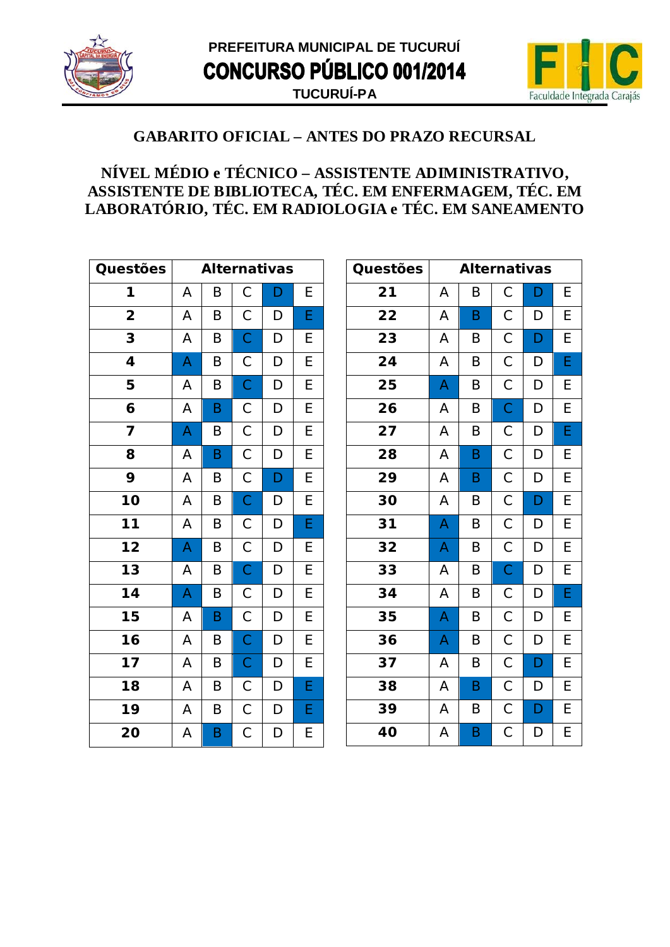



# NÍVEL MÉDIO e TÉCNICO - ASSISTENTE ADIMINISTRATIVO, ASSISTENTE DE BIBLIOTECA, TÉC. EM ENFERMAGEM, TÉC. EM LABORATÓRIO, TÉC. EM RADIOLOGIA e TÉC. EM SANEAMENTO

| Questões                |   |   |             | <b>Alternativas</b> |   |
|-------------------------|---|---|-------------|---------------------|---|
| 1                       | A | B | C           | D                   | Е |
| $\overline{\mathbf{2}}$ | A | B | С           | D                   | E |
| 3                       | A | B | $\mathsf C$ | D                   | E |
| 4                       | A | B | С           | D                   | Е |
| 5                       | A | B | $\mathsf C$ | D                   | E |
| 6                       | А | B | С           | D                   | E |
| 7                       | A | B | $\mathsf C$ | D                   | E |
| 8                       | A | B | $\mathsf C$ | D                   | E |
| 9                       | А | B | $\mathsf C$ | D                   | E |
| 10                      | A | B | $\mathsf C$ | D                   | E |
| 11                      | A | B | С           | D                   | Е |
| 12                      | A | B | $\mathsf C$ | D                   | E |
| 13                      | A | B | $\mathsf C$ | D                   | E |
| 14                      | A | B | С           | D                   | E |
| 15                      | A | B | $\mathsf C$ | D                   | E |
| 16                      | A | B | $\mathsf C$ | D                   | E |
| 17                      | A | B | $\mathbf C$ | D                   | E |
| 18                      | A | B | С           | D                   | E |
| 19                      | A | B | $\mathsf C$ | D                   | E |
| 20                      | Α | B | С           | D                   | Ε |

| Questões |                | <b>Alternativas</b>     |                |                                  |   |
|----------|----------------|-------------------------|----------------|----------------------------------|---|
| 21       | А              | B                       | $\mathsf C$    | D                                | Е |
| 22       | А              | B                       | С              | D                                | Е |
| 23       | Α              | B                       | $\mathsf{C}$   | D                                | E |
| 24       | A              | B                       | $\mathsf C$    | D                                | E |
| 25       | A              | B                       | $\mathsf C$    | D                                | E |
| 26       | A              | $\sf B$                 | $\overline{C}$ | D                                | E |
| 27       | A              | B                       | $\mathsf C$    | D                                | E |
| 28       | Α              | B                       | $\mathsf C$    | D                                | E |
| 29       | А              | B                       | $\mathsf C$    | D                                | Е |
| 30       | A              | B                       | $\mathsf{C}$   | D                                | E |
| 31       | A              | B                       | $\mathsf{C}$   | D                                | E |
| 32       | A              | B                       | $\mathsf C$    | D                                | E |
| 33       | A              | B                       | $\overline{C}$ | $\begin{array}{c} \n\end{array}$ | E |
| 34       | A              | B                       | $\mathsf{C}$   | D                                | E |
| 35       | A              | B                       | $\mathsf{C}$   | D                                | E |
| 36       | A              | B                       | $\mathsf C$    | $\mathsf D$                      | E |
| 37       | А              | B                       | $\mathsf C$    | D                                | E |
| 38       | А              | B                       | $\mathsf{C}$   | D                                | E |
| 39       | Α              | B                       | $\mathsf{C}$   | $\mathsf{D}$                     | E |
| 40       | $\overline{A}$ | $\overline{\mathsf{B}}$ | $\overline{C}$ | $\overline{D}$                   | E |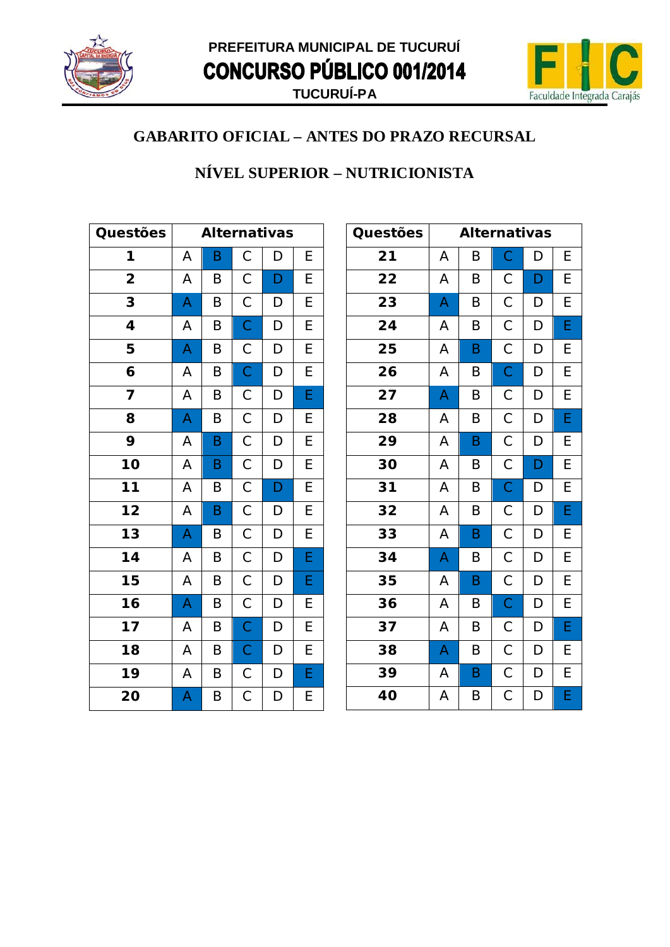



### NÍVEL SUPERIOR - NUTRICIONISTA

| Questões                |   | <b>Alternativas</b> |                |   |                |  |
|-------------------------|---|---------------------|----------------|---|----------------|--|
| 1                       | A | B                   | $\mathsf C$    | D | E              |  |
| $\overline{\mathbf{2}}$ | Α | B                   | $\mathsf C$    | D | E              |  |
| 3                       | A | B                   | $\mathsf C$    | D | $\overline{E}$ |  |
| 4                       | A | B                   | $\overline{C}$ | D | $\overline{E}$ |  |
| 5                       | A | B                   | $\mathsf{C}$   | D | E              |  |
| 6                       | A | B                   | $\overline{C}$ | D | $\overline{E}$ |  |
| 7                       | Α | Β                   | $\mathsf{C}$   | D | E              |  |
| 8                       | A | B                   | $\overline{C}$ | D | E              |  |
| 9                       | A | B                   | $\overline{C}$ | D | $\overline{E}$ |  |
| 10                      | A | B                   | $\mathsf{C}$   | D | $\overline{E}$ |  |
| 11                      | A | B                   | $\mathsf{C}$   | D | $\overline{E}$ |  |
| $\overline{12}$         | A | B                   | $\overline{C}$ | D | $\overline{E}$ |  |
| $\overline{13}$         | A | B                   | $\overline{C}$ | D | $\overline{E}$ |  |
| 14                      | A | B                   | $\mathsf C$    | D | E              |  |
| 15                      | Α | B                   | $\mathsf{C}$   | D | E              |  |
| 16                      | A | B                   | $\overline{C}$ | D | E              |  |
| 17                      | A | B                   | $\overline{C}$ | D | $\overline{E}$ |  |
| 18                      | A | B                   | $\overline{C}$ | D | $\overline{E}$ |  |
| 19                      | Α | B                   | $\mathsf{C}$   | D | E              |  |
| 20                      | A | Β                   | $\mathsf C$    | D | E              |  |

| Questões |   | <b>Alternativas</b> |                |             |   |
|----------|---|---------------------|----------------|-------------|---|
| 21       | А | B                   | $\mathsf{C}$   | D           | Ε |
| 22       | Α | B                   | $\mathsf C$    | D           | E |
| 23       | A | B                   | $\mathsf C$    | D           | E |
| 24       | Α | B                   | $\mathsf{C}$   | D           | E |
| 25       | A | B                   | $\overline{C}$ | D           | E |
| 26       | Α | B                   | $\mathsf{C}$   | $\mathsf D$ | Е |
| 27       | A | B                   | $\mathsf C$    | D           | E |
| 28       | Α | B                   | $\mathsf{C}$   | D           | E |
| 29       | A | B                   | $\mathsf{C}$   | D           | E |
| 30       | A | B                   | $\mathsf{C}$   | D           | E |
| 31       | Α | B                   | $\overline{C}$ | D           | E |
| 32       | Α | B                   | $\mathsf{C}$   | D           | E |
| 33       | Α | B                   | $\overline{C}$ | D           | E |
| 34       | A | B                   | $\overline{C}$ | D           | E |
| 35       | Α | B                   | $\mathsf C$    | $\mathsf D$ | E |
| 36       | Α | B                   | $\overline{C}$ | D           | E |
| 37       | Α | B                   | $\mathsf C$    | D           | E |
| 38       | A | B                   | $\mathsf C$    | D           | E |
| 39       | A | B                   | $\mathsf C$    | $\mathsf D$ | E |
| 40       | A | B                   | $\mathsf C$    | D           | E |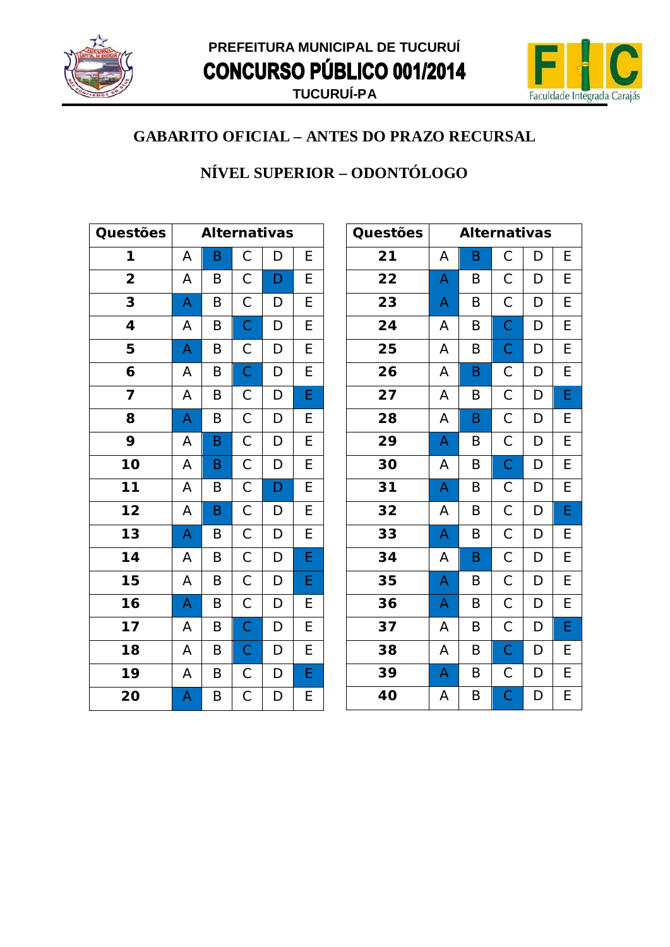



### NÍVEL SUPERIOR - ODONTÓLOGO

| Questões                |   | <b>Alternativas</b> |                |              |                |  |
|-------------------------|---|---------------------|----------------|--------------|----------------|--|
| 1                       | A | B                   | $\mathsf C$    | D            | E              |  |
| $\overline{\mathbf{2}}$ | A | B                   | $\mathsf C$    | D            | E              |  |
| 3                       | A | B                   | $\mathsf C$    | D            | $\overline{E}$ |  |
| 4                       | A | B                   | $\overline{C}$ | D            | E              |  |
| 5                       | A | B                   | $\mathsf{C}$   | D            | E              |  |
| 6                       | A | B                   | $\mathsf{C}$   | $\mathsf{D}$ | $\overline{E}$ |  |
| 7                       | A | Β                   | $\mathsf{C}$   | D            | E              |  |
| 8                       | A | B                   | $\mathsf C$    | D            | E              |  |
| 9                       | A | B                   | $\mathsf{C}$   | D            | E              |  |
| 10                      | A | B                   | $\overline{C}$ | D            | $\overline{E}$ |  |
| $11$                    | A | B                   | $\mathsf C$    | D            | E              |  |
| $\overline{12}$         | A | B                   | $\overline{C}$ | D            | E              |  |
| $\overline{13}$         | A | B                   | $\overline{C}$ | D            | $\overline{E}$ |  |
| 14                      | A | B                   | $\mathsf C$    | D            | E              |  |
| 15                      | A | B                   | $\mathsf C$    | D            | E              |  |
| 16                      | A | B                   | $\mathsf{C}$   | D            | E              |  |
| 17                      | A | B                   | $\overline{C}$ | D            | $\overline{E}$ |  |
| 18                      | A | B                   | $\overline{C}$ | D            | $\overline{E}$ |  |
| 19                      | Α | B                   | $\mathsf{C}$   | D            | E              |  |
| 20                      | A | Β                   | $\mathsf C$    | D            | E              |  |

| Questões |   | <b>Alternativas</b> |                       |   |   |
|----------|---|---------------------|-----------------------|---|---|
| 21       | Α | B                   | $\mathsf C$           | D | Ε |
| 22       | A | B                   | $\mathsf C$           | D | E |
| 23       | A | B                   | $\mathsf C$           | D | E |
| 24       | А | B                   | $\mathsf{C}$          | D | Ε |
| 25       | A | B                   | $\mathsf C$           | D | E |
| 26       | A | B                   | $\mathsf C$           | D | Е |
| 27       | А | B                   | $\mathsf C$           | D | E |
| 28       | А | B                   | $\mathsf C$           | D | Е |
| 29       | A | B                   | $\mathsf C$           | D | E |
| 30       | A | B                   | $\mathsf C$           | D | E |
| 31       | A | $\sf B$             | $\mathsf C$           | D | E |
| 32       | А | B                   | $\mathsf C$           | D | E |
| 33       | A | B                   | $\mathsf{C}$          | D | E |
| 34       | A | B                   | $\mathsf{C}$          | D | E |
| 35       | A | B                   | $\mathsf C$           | D | E |
| 36       | A | B                   | $\mathsf C$           | D | E |
| 37       | Α | B                   | $\mathsf C$           | D | E |
| 38       | А | B                   | $\mathsf C$           | D | E |
| 39       | A | B                   | $\mathsf C$           | D | E |
| 40       | A | B                   | $\overline{\text{C}}$ | D | E |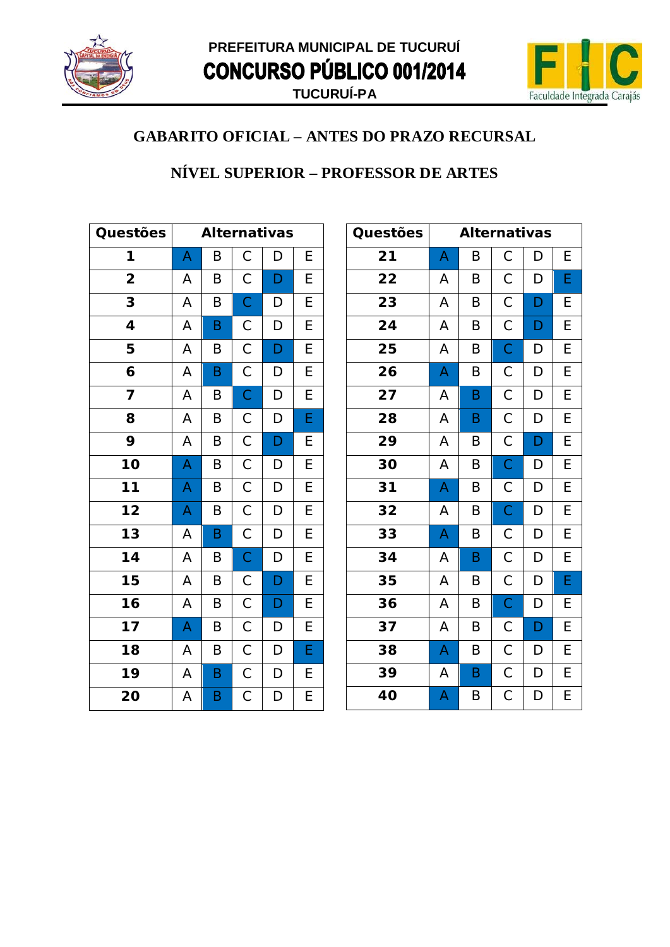



#### NÍVEL SUPERIOR - PROFESSOR DE ARTES

| Questões                |   | <b>Alternativas</b> |                |                |                         |  |
|-------------------------|---|---------------------|----------------|----------------|-------------------------|--|
| 1                       | A | B                   | $\mathsf{C}$   | D              | E                       |  |
| $\overline{\mathbf{2}}$ | A | B                   | $\mathsf{C}$   | D              | E                       |  |
| 3                       | A | B                   | $\overline{C}$ | D              | E                       |  |
| 4                       | A | B                   | $\mathsf{C}$   | D              | $\overline{E}$          |  |
| 5                       | A | B                   | $\mathsf{C}$   | D              | E                       |  |
| 6                       | A | B                   | $\mathsf{C}$   | D              | E                       |  |
| 7                       | A | Β                   | $\overline{C}$ | D              | E                       |  |
| 8                       | A | B                   | $\overline{C}$ | D              | E                       |  |
| 9                       | A | B                   | $\overline{C}$ | D              | E                       |  |
| 10                      | A | B                   | $\overline{C}$ | D              | $\overline{E}$          |  |
| $\overline{11}$         | A | Β                   | $\mathsf{C}$   | D              | E                       |  |
| $\overline{12}$         | A | B                   | $\overline{C}$ | $\overline{D}$ | $\overline{E}$          |  |
| $\overline{13}$         | A | B                   | $\overline{C}$ | D              | $\overline{E}$          |  |
| $\overline{14}$         | A | B                   | $\mathsf{C}$   | D              | E                       |  |
| 15                      | Α | B                   | $\mathsf{C}$   | $\mathsf{D}$   | E                       |  |
| $\overline{16}$         | A | B                   | $\mathsf{C}$   | D              | E                       |  |
| 17                      | A | B                   | $\overline{C}$ | D              | $\overline{E}$          |  |
| 18                      | A | B                   | $\overline{C}$ | D              | E                       |  |
| 19                      | A | B                   | $\overline{C}$ | $\mathsf{D}$   | E                       |  |
| 20                      | Α | B                   | C              | D              | $\overline{\mathsf{E}}$ |  |

| Questões |   | <b>Alternativas</b> |                |   |   |
|----------|---|---------------------|----------------|---|---|
| 21       | A | B                   | $\mathsf C$    | D | Е |
| 22       | А | B                   | $\mathsf C$    | D | E |
| 23       | Α | B                   | $\mathsf C$    | D | E |
| 24       | A | B                   | $\mathsf C$    | D | E |
| 25       | A | B                   | $\overline{C}$ | D | E |
| 26       | A | B                   | $\mathsf C$    | D | E |
| 27       | Α | B                   | $\mathsf C$    | D | E |
| 28       | Α | B                   | $\mathsf C$    | D | E |
| 29       | A | B                   | $\mathsf C$    | D | E |
| 30       | A | B                   | $\overline{C}$ | D | Е |
| 31       | A | $\sf B$             | $\mathsf C$    | D | E |
| 32       | А | B                   | $\mathsf C$    | D | E |
| 33       | A | B                   | $\mathsf C$    | D | Ε |
| 34       | A | B                   | $\mathsf{C}$   | D | E |
| 35       | Α | B                   | $\mathsf C$    | D | E |
| 36       | Α | B                   | $\mathsf{C}$   | D | E |
| 37       | Α | B                   | $\mathsf C$    | D | E |
| 38       | A | B                   | $\mathsf C$    | D | E |
| 39       | Α | B                   | $\mathsf C$    | D | E |
| 40       | A | B                   | $\mathsf C$    | D | E |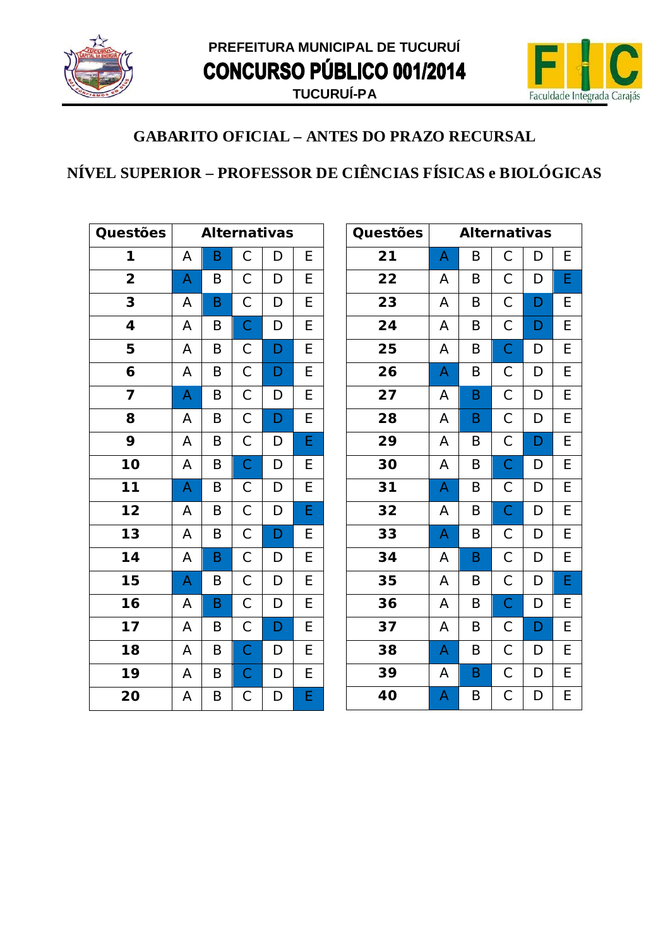



# NÍVEL SUPERIOR – PROFESSOR DE CIÊNCIAS FÍSICAS e BIOLÓGICAS

| Questões                |   |   |                | <b>Alternativas</b> |                |
|-------------------------|---|---|----------------|---------------------|----------------|
| 1                       | A | Β | $\mathsf C$    | D                   | E              |
| $\overline{\mathbf{2}}$ | A | B | $\mathsf C$    | D                   | E              |
| 3                       | Α | B | $\mathsf C$    | D                   | E              |
| 4                       | A | B | $\overline{C}$ | D                   | E              |
| 5                       | A | B | $\mathsf{C}$   | D                   | E              |
| 6                       | A | B | $\mathsf{C}$   | D                   | E              |
| 7                       | A | B | $\mathsf{C}$   | D                   | E              |
| 8                       | A | B | $\overline{C}$ | D                   | $\overline{E}$ |
| 9                       | A | B | $\overline{C}$ | D                   | E              |
| 10                      | A | B | $\mathsf{C}$   | D                   | E              |
| 11                      | A | B | $\mathsf C$    | D                   | E              |
| $\overline{12}$         | Α | B | $\overline{C}$ | D                   | E              |
| 13                      | A | B | $\mathsf C$    | D                   | E              |
| 14                      | Α | B | $\mathsf C$    | D                   | E              |
| 15                      | A | B | $\mathsf C$    | D                   | E              |
| 16                      | A | B | $\mathsf C$    | D                   | E              |
| 17                      | A | B | $\mathsf C$    | D                   | E              |
| 18                      | A | B | $\overline{C}$ | D                   | E              |
| 19                      | A | B | $\mathsf{C}$   | D                   | E              |
| 20                      | A | B | $\mathsf C$    | D                   | E              |

| Questões |                           | <b>Alternativas</b> |             |   |   |
|----------|---------------------------|---------------------|-------------|---|---|
| 21       | A                         | B                   | С           | D | Е |
| 22       | A                         | B                   | С           | D | E |
| 23       | A                         | B                   | $\mathsf C$ | D | E |
| 24       | A                         | B                   | $\mathsf C$ | D | E |
| 25       | A                         | B                   | $\mathsf C$ | D | Е |
| 26       | $\boldsymbol{\mathsf{A}}$ | B                   | $\mathsf C$ | D | E |
| 27       | А                         | B                   | $\mathsf C$ | D | E |
| 28       | A                         | B                   | $\mathsf C$ | D | E |
| 29       | Α                         | B                   | $\mathsf C$ | D | E |
| 30       | A                         | B                   | $\mathsf C$ | D | E |
| 31       | A                         | B                   | С           | D | E |
| 32       | A                         | B                   | $\mathsf C$ | D | E |
| 33       | $\mathsf{A}$              | B                   | $\mathsf C$ | D | Е |
| 34       | A                         | $\sf B$             | $\mathsf C$ | D | Е |
| 35       | A                         | B                   | $\mathsf C$ | D | E |
| 36       | Α                         | B                   | $\mathsf C$ | D | E |
| 37       | Α                         | B                   | С           | D | Е |
| 38       | A                         | B                   | $\mathsf C$ | D | E |
| 39       | А                         | $\sf B$             | $\mathsf C$ | D | E |
| 40       | A                         | B                   | $\mathsf C$ | D | E |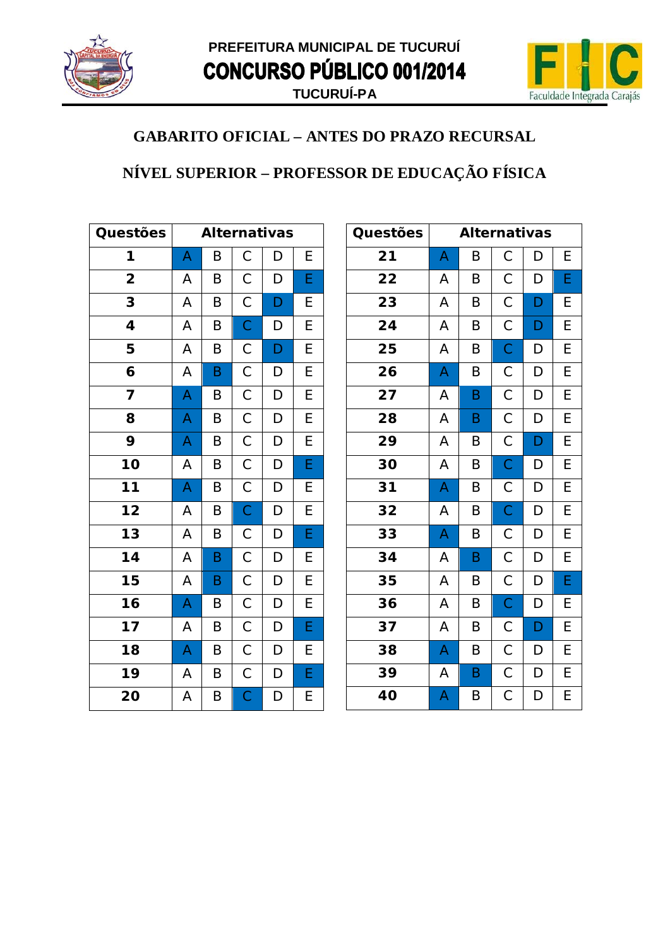



# NÍVEL SUPERIOR - PROFESSOR DE EDUCAÇÃO FÍSICA

| Questões                 |   | <b>Alternativas</b> |                |                |                         |  |
|--------------------------|---|---------------------|----------------|----------------|-------------------------|--|
| 1                        | A | B                   | $\mathsf C$    | D              | E                       |  |
| $\overline{\mathbf{2}}$  | A | B                   | $\mathsf C$    | D              | E                       |  |
| 3                        | A | B                   | $\mathsf C$    | D              | E                       |  |
| 4                        | A | B                   | $\overline{C}$ | D              | E                       |  |
| 5                        | A | B                   | $\overline{C}$ | D              | $\overline{E}$          |  |
| 6                        | A | B                   | $\mathsf{C}$   | D              | E                       |  |
| 7                        | A | B                   | $\overline{C}$ | D              | $\overline{E}$          |  |
| 8                        | A | B                   | $\overline{C}$ | $\overline{D}$ | $\overline{E}$          |  |
| 9                        | A | B                   | $\overline{C}$ | D              | $\overline{E}$          |  |
| 10                       | A | B                   | $\overline{C}$ | D              | $\overline{\mathsf{E}}$ |  |
| $\overline{11}$          | A | B                   | $\mathsf{C}$   | D              | E                       |  |
| $\overline{12}$          | A | B                   | $\overline{C}$ | $\overline{D}$ | $\overline{E}$          |  |
| $\overline{13}$          | A | B                   | $\mathsf{C}$   | D              | E                       |  |
| 14                       | A | B                   | $\overline{C}$ | D              | E                       |  |
| 15                       | A | B                   | $\mathsf C$    | D              | E                       |  |
| $\overline{\mathbf{16}}$ | A | B                   | $\overline{C}$ | D              | $\overline{E}$          |  |
| 17                       | A | B                   | $\overline{C}$ | $\mathsf{D}$   | E                       |  |
| 18                       | A | B                   | $\overline{C}$ | D              | E                       |  |
| 19                       | Α | B                   | $\overline{C}$ | $\mathsf{D}$   | E                       |  |
| 20                       | A | Β                   | $\mathsf C$    | D              | E                       |  |

| Questões |   | <b>Alternativas</b> |                |   |   |
|----------|---|---------------------|----------------|---|---|
| 21       | A | B                   | С              | D | Е |
| 22       | А | B                   | С              | D | E |
| 23       | A | B                   | С              | D | Е |
| 24       | A | B                   | $\mathsf C$    | D | E |
| 25       | A | B                   | $\overline{C}$ | D | E |
| 26       | A | B                   | $\mathsf C$    | D | E |
| 27       | Α | B                   | $\mathsf C$    | D | E |
| 28       | A | B                   | $\mathsf C$    | D | E |
| 29       | A | B                   | $\mathsf C$    | D | E |
| 30       | A | B                   | $\overline{C}$ | D | E |
| 31       | A | B                   | $\mathsf C$    | D | E |
| 32       | A | B                   | $\mathsf C$    | D | E |
| 33       | A | B                   | С              | D | Е |
| 34       | А | $\sf B$             | $\mathsf C$    | D | E |
| 35       | A | B                   | $\mathsf C$    | D | E |
| 36       | A | B                   | $\mathsf C$    | D | E |
| 37       | А | B                   | $\mathsf C$    | D | E |
| 38       | A | B                   | $\mathsf C$    | D | E |
| 39       | A | $\sf B$             | $\mathsf C$    | D | E |
| 40       | A | B                   | $\mathsf C$    | D | E |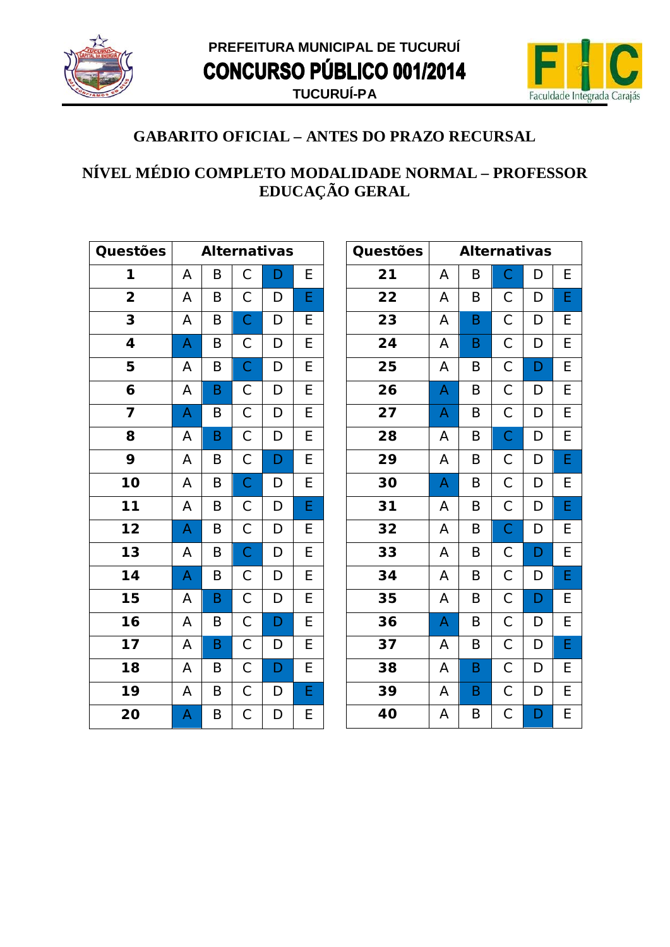



#### NÍVEL MÉDIO COMPLETO MODALIDADE NORMAL - PROFESSOR EDUCAÇÃO GERAL

| Questões                   |   | <b>Alternativas</b> |                |              |                         |  |
|----------------------------|---|---------------------|----------------|--------------|-------------------------|--|
| 1                          | A | B                   | $\mathsf C$    | D            | E                       |  |
| $\overline{\mathbf{2}}$    | A | Β                   | $\mathsf{C}$   | D            | E                       |  |
| 3                          | A | B                   | $\overline{C}$ | D            | E                       |  |
| 4                          | A | B                   | $\mathsf{C}$   | D            | E                       |  |
| 5                          | A | B                   | $\mathsf{C}$   | D            | $\overline{\mathsf{E}}$ |  |
| 6                          | A | B                   | $\mathsf C$    | D            | E                       |  |
| 7                          | A | B                   | $\overline{C}$ | D            | $\overline{E}$          |  |
| 8                          | A | B                   | $\overline{C}$ | D            | E                       |  |
| 9                          | A | B                   | $\overline{C}$ | D            | E                       |  |
| 10                         | A | B                   | $\overline{C}$ | D            | $\overline{E}$          |  |
| $\overline{11}$            | A | B                   | $\mathsf{C}$   | D            | E                       |  |
| $\overline{12}$            | A | B                   | $\mathsf{C}$   | $\mathsf{D}$ | E                       |  |
| $\overline{1}3$            | A | B                   | $\overline{C}$ | D            | $\overline{E}$          |  |
| 14                         | A | B                   | $\mathsf{C}$   | D            | E                       |  |
| $\overline{15}$            | A | B                   | $\overline{C}$ | D            | $\overline{E}$          |  |
| $\overline{\overline{16}}$ | A | B                   | $\overline{C}$ | D            | $\overline{E}$          |  |
| 17                         | A | B                   | $\overline{C}$ | $\mathsf{D}$ | E                       |  |
| 18                         | A | B                   | $\overline{C}$ | D            | $\overline{E}$          |  |
| 19                         | A | B                   | $\overline{C}$ | $\mathsf{D}$ | E                       |  |
| 20                         | A | Β                   | $\mathsf C$    | D            | E                       |  |

| <b>Questões</b> |   | <b>Alternativas</b> |                |   |   |
|-----------------|---|---------------------|----------------|---|---|
| 21              | A | B                   | $\mathsf C$    | D | E |
| 22              | А | B                   | С              | D | E |
| 23              | Α | B                   | $\mathsf C$    | D | E |
| 24              | A | B                   | $\mathsf C$    | D | Е |
| 25              | A | B                   | $\overline{C}$ | D | E |
| 26              | A | B                   | $\mathsf C$    | D | E |
| 27              | A | B                   | $\mathsf C$    | D | E |
| 28              | Α | B                   | $\mathsf C$    | D | E |
| 29              | A | B                   | $\mathsf C$    | D | E |
| 30              | A | B                   | $\mathsf C$    | D | E |
| 31              | А | B                   | $\mathsf C$    | D | E |
| 32              | А | B                   | $\mathsf C$    | D | E |
| 33              | А | B                   | $\mathsf{C}$   | D | E |
| 34              | A | B                   | $\overline{C}$ | D | E |
| 35              | A | B                   | $\mathsf C$    | D | Ε |
| 36              | A | B                   | $\mathsf C$    | D | E |
| 37              | A | B                   | $\mathsf C$    | D | E |
| 38              | A | B                   | $\mathsf C$    | D | E |
| 39              | Α | B                   | $\mathsf C$    | D | Ε |
| 40              | A | B                   | $\mathsf C$    | D | E |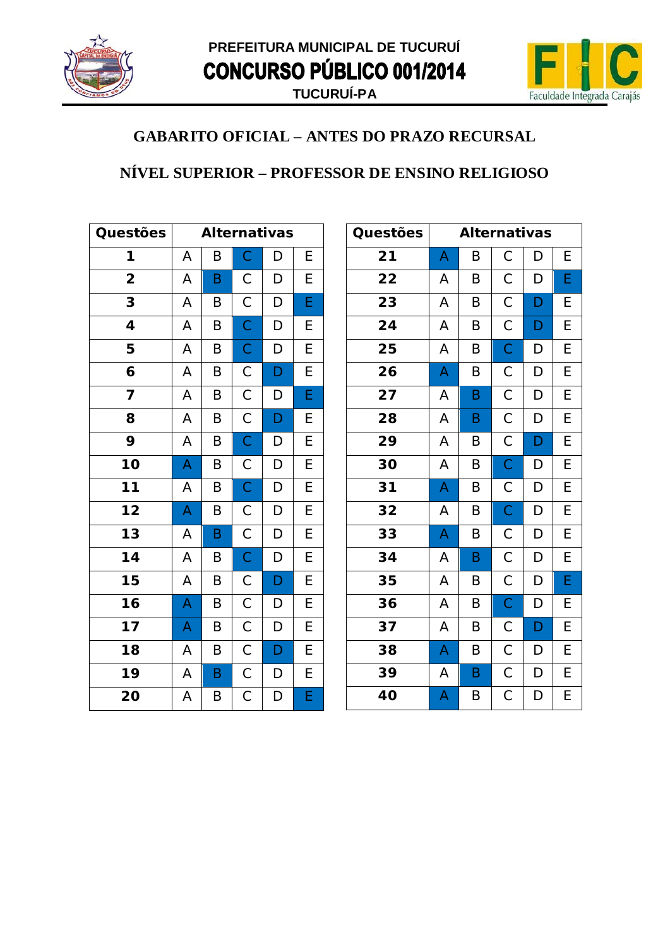



#### NÍVEL SUPERIOR – PROFESSOR DE ENSINO RELIGIOSO

| Questões                | <b>Alternativas</b> |   |                |                |                |
|-------------------------|---------------------|---|----------------|----------------|----------------|
| 1                       | A                   | Β | $\mathsf{C}$   | D              | E              |
| $\overline{2}$          | A                   | B | $\mathsf C$    | D              | E              |
| 3                       | A                   | B | $\overline{C}$ | D              | E              |
| 4                       | A                   | B | $\overline{C}$ | D              | E              |
| 5                       | A                   | B | $\mathsf{C}$   | D              | E              |
| 6                       | A                   | B | $\mathsf{C}$   | D              | E              |
| $\overline{\mathbf{z}}$ | A                   | B | $\overline{C}$ | D              | E              |
| 8                       | A                   | B | $\mathsf{C}$   | $\overline{D}$ | E              |
| 9                       | A                   | B | $\overline{C}$ | D              | $\overline{E}$ |
| 10                      | A                   | B | $\mathsf{C}$   | D              | $\overline{E}$ |
| $\overline{11}$         | A                   | B | $\overline{C}$ | D              | $\overline{E}$ |
| $\overline{12}$         | A                   | B | $\mathsf{C}$   | $\overline{D}$ | $\overline{E}$ |
| $\overline{13}$         | A                   | B | $\overline{C}$ | D              | $\overline{E}$ |
| $\overline{14}$         | A                   | B | $\overline{C}$ | D              | $\overline{E}$ |
| 15                      | A                   | B | $\mathsf{C}$   | $\mathsf{D}$   | $\overline{E}$ |
| $\overline{16}$         | A                   | B | $\overline{C}$ | D              | $\overline{E}$ |
| 17                      | A                   | B | $\mathsf C$    | D              | $\overline{E}$ |
| 18                      | A                   | B | $\overline{C}$ | D              | $\overline{E}$ |
| 19                      | A                   | B | $\overline{C}$ | D              | $\overline{E}$ |
| 20                      | A                   | Β | $\mathsf C$    | D              | E              |

| Questões |   | <b>Alternativas</b> |                |   |   |
|----------|---|---------------------|----------------|---|---|
| 21       | A | B                   | $\mathsf C$    | D | Ε |
| 22       | А | B                   | С              | D | E |
| 23       | A | B                   | $\mathsf C$    | D | Е |
| 24       | Α | Β                   | С              | D | Е |
| 25       | A | B                   | $\overline{C}$ | D | Е |
| 26       | A | B                   | $\mathsf C$    | D | E |
| 27       | Α | B                   | $\mathsf C$    | D | E |
| 28       | Α | B                   | С              | D | Е |
| 29       | A | B                   | $\mathsf C$    | D | E |
| 30       | A | B                   | $\mathsf C$    | D | E |
| 31       | A | B                   | $\mathsf C$    | D | E |
| 32       | Α | B                   | $\mathsf C$    | D | E |
| 33       | A | B                   | $\mathsf C$    | D | Ε |
| 34       | Α | B                   | $\mathsf C$    | D | E |
| 35       | А | B                   | $\mathsf C$    | D | E |
| 36       | A | B                   | $\mathsf C$    | D | Е |
| 37       | A | B                   | С              | D | E |
| 38       | A | B                   | $\mathsf C$    | D | E |
| 39       | А | $\sf B$             | $\mathsf C$    | D | Е |
| 40       | A | B                   | $\mathsf C$    | D | Е |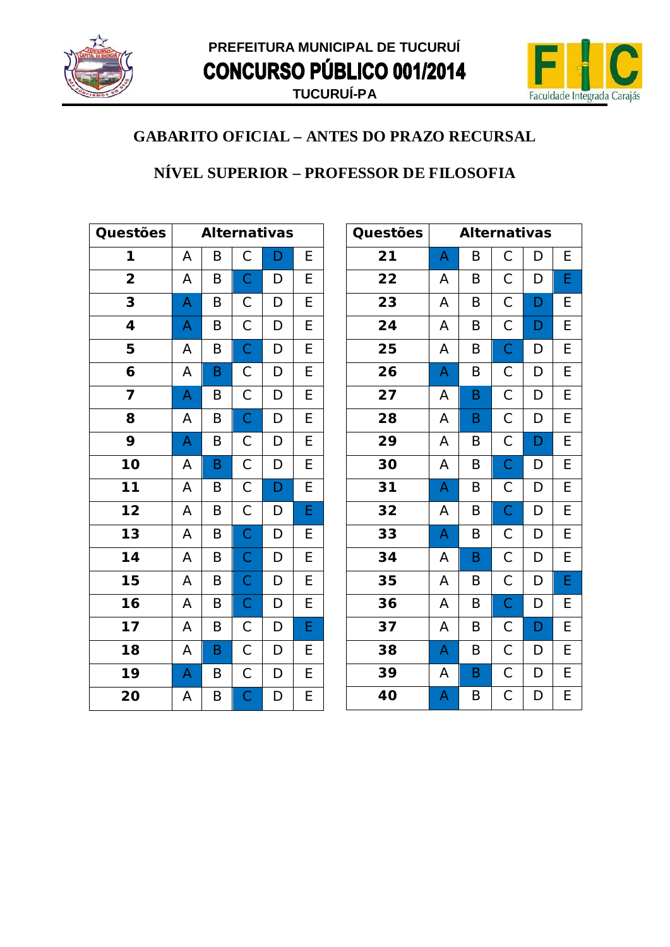



### NÍVEL SUPERIOR - PROFESSOR DE FILOSOFIA

| Questões                |   |   |                | <b>Alternativas</b> |                         |
|-------------------------|---|---|----------------|---------------------|-------------------------|
| 1                       | A | Β | $\mathsf{C}$   | D                   | E                       |
| $\overline{\mathbf{2}}$ | A | B | $\mathsf{C}$   | D                   | E                       |
| 3                       | A | B | $\mathsf C$    | D                   | E                       |
| 4                       | A | B | $\overline{C}$ | D                   | $\overline{E}$          |
| 5                       | A | Β | $\overline{C}$ | D                   | E                       |
| 6                       | A | B | $\overline{C}$ | D                   | E                       |
| 7                       | A | Β | $\overline{C}$ | D                   | E                       |
| 8                       | A | B | $\overline{C}$ | D                   | $\overline{E}$          |
| 9                       | A | B | $\mathsf{C}$   | $\mathsf{D}$        | $\overline{E}$          |
| 10                      | A | B | $\overline{C}$ | D                   | $\overline{E}$          |
| $\overline{11}$         | A | Β | $\overline{C}$ | D                   | E                       |
| $\overline{12}$         | A | B | $\overline{C}$ | D                   | E                       |
| $\overline{13}$         | A | B | $\overline{C}$ | D                   | E                       |
| 14                      | A | B | $\mathsf{C}$   | D                   | E                       |
| 15                      | A | B | $\mathsf{C}$   | D                   | E                       |
| $\overline{16}$         | A | B | $\mathsf{C}$   | D                   | $\overline{E}$          |
| 17                      | A | B | $\mathsf{C}$   | $\mathsf D$         | E                       |
| 18                      | A | B | $\overline{C}$ | D                   | E                       |
| 19                      | A | B | $\mathsf{C}$   | $\mathsf{D}$        | E                       |
| 20                      | А | B | $\mathsf C$    | D                   | $\overline{\mathsf{E}}$ |

| Questões |   | <b>Alternativas</b> |                |   |   |
|----------|---|---------------------|----------------|---|---|
| 21       | A | B                   | С              | D | Е |
| 22       | А | B                   | $\mathsf C$    | D | E |
| 23       | А | B                   | $\mathsf C$    | D | E |
| 24       | A | B                   | $\mathsf C$    | D | E |
| 25       | A | B                   | $\mathsf C$    | D | E |
| 26       | A | B                   | $\mathsf C$    | D | E |
| 27       | А | B                   | $\mathsf C$    | D | E |
| 28       | Α | B                   | $\mathsf C$    | D | E |
| 29       | A | B                   | $\mathsf C$    | D | E |
| 30       | A | B                   | $\overline{C}$ | D | E |
| 31       | A | B                   | $\mathsf C$    | D | E |
| 32       | А | B                   | $\mathsf C$    | D | E |
| 33       | A | B                   | $\mathsf C$    | D | E |
| 34       | A | B                   | $\mathsf{C}$   | D | E |
| 35       | A | B                   | $\mathsf C$    | D | E |
| 36       | А | B                   | $\mathsf C$    | D | E |
| 37       | Α | B                   | $\mathsf C$    | D | E |
| 38       | A | B                   | $\mathsf C$    | D | E |
| 39       | А | B                   | $\mathsf C$    | D | E |
| 40       | A | B                   | $\mathsf C$    | D | E |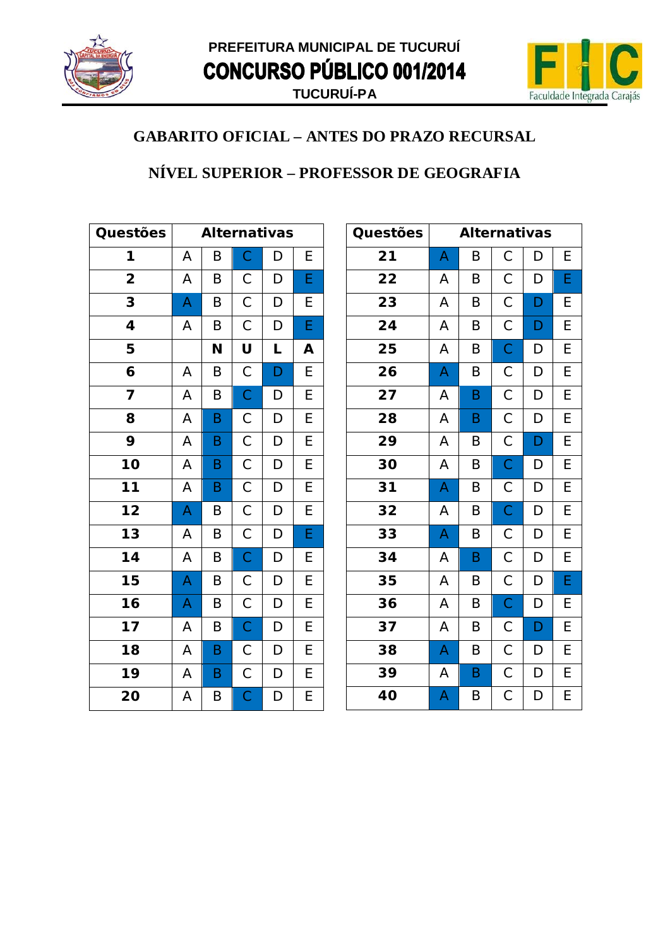



#### NÍVEL SUPERIOR - PROFESSOR DE GEOGRAFIA

| Questões                |   | <b>Alternativas</b> |                |             |                |  |
|-------------------------|---|---------------------|----------------|-------------|----------------|--|
| 1                       | A | B                   | $\mathsf{C}$   | D           | E              |  |
| $\overline{\mathbf{2}}$ | Α | B                   | $\mathsf C$    | D           | E              |  |
| 3                       | A | B                   | $\mathsf C$    | D           | E              |  |
| $\overline{\mathbf{4}}$ | A | B                   | $\mathsf C$    | D           | Ė              |  |
| 5                       |   | N                   | U              | L           | A              |  |
| 6                       | A | B                   | $\mathsf{C}$   | D           | E              |  |
| 7                       | A | Β                   | $\mathsf{C}$   | D           | E              |  |
| 8                       | A | B                   | $\mathsf C$    | D           | E              |  |
| 9                       | A | B                   | $\mathsf{C}$   | D           | E              |  |
| 10                      | A | B                   | $\mathsf{C}$   | D           | E              |  |
| $\overline{11}$         | A | B                   | $\mathsf C$    | $\mathsf D$ | E              |  |
| $\overline{12}$         | A | Β                   | $\overline{C}$ | D           | $\overline{E}$ |  |
| $\overline{13}$         | A | B                   | $\mathsf C$    | D           | Ė              |  |
| 14                      | A | B                   | $\mathsf{C}$   | D           | E              |  |
| 15                      | A | B                   | $\mathsf C$    | D           | E              |  |
| 16                      | A | B                   | $\mathsf{C}$   | D           | E              |  |
| 17                      | A | B                   | $\overline{C}$ | D           | E              |  |
| 18                      | A | B                   | $\mathsf C$    | D           | E              |  |
| 19                      | A | B                   | $\mathsf{C}$   | D           | E              |  |
| 20                      | Α | Β                   | $\mathsf{C}$   | D           | E              |  |

| Questões |                         | <b>Alternativas</b> |                |   |   |
|----------|-------------------------|---------------------|----------------|---|---|
| 21       | A                       | B                   | С              | D | Е |
| 22       | А                       | B                   | $\mathsf C$    | D | E |
| 23       | A                       | B                   | $\mathsf C$    | D | E |
| 24       | А                       | B                   | $\mathsf{C}$   | D | Ε |
| 25       | A                       | B                   | $\overline{C}$ | D | E |
| 26       | A                       | B                   | $\mathsf C$    | D | E |
| 27       | Α                       | B                   | $\mathsf C$    | D | E |
| 28       | Α                       | B                   | $\mathsf C$    | D | E |
| 29       | A                       | B                   | $\mathsf C$    | D | E |
| 30       | A                       | B                   | $\overline{C}$ | D | E |
| 31       | A                       | B                   | $\mathsf C$    | D | E |
| 32       | Α                       | $\sf B$             | $\overline{C}$ | D | E |
| 33       | A                       | B                   | $\mathsf{C}$   | D | Е |
| 34       | A                       | $\mathsf B$         | $\mathsf C$    | D | E |
| 35       | A                       | B                   | $\mathsf{C}$   | D | E |
| 36       | A                       | B                   | $\mathsf{C}$   | D | E |
| 37       | А                       | B                   | $\mathsf C$    | D | E |
| 38       | A                       | B                   | $\mathsf C$    | D | E |
| 39       | A                       | $\sf B$             | $\mathsf C$    | D | E |
| 40       | $\overline{\mathsf{A}}$ | B                   | $\mathsf C$    | D | E |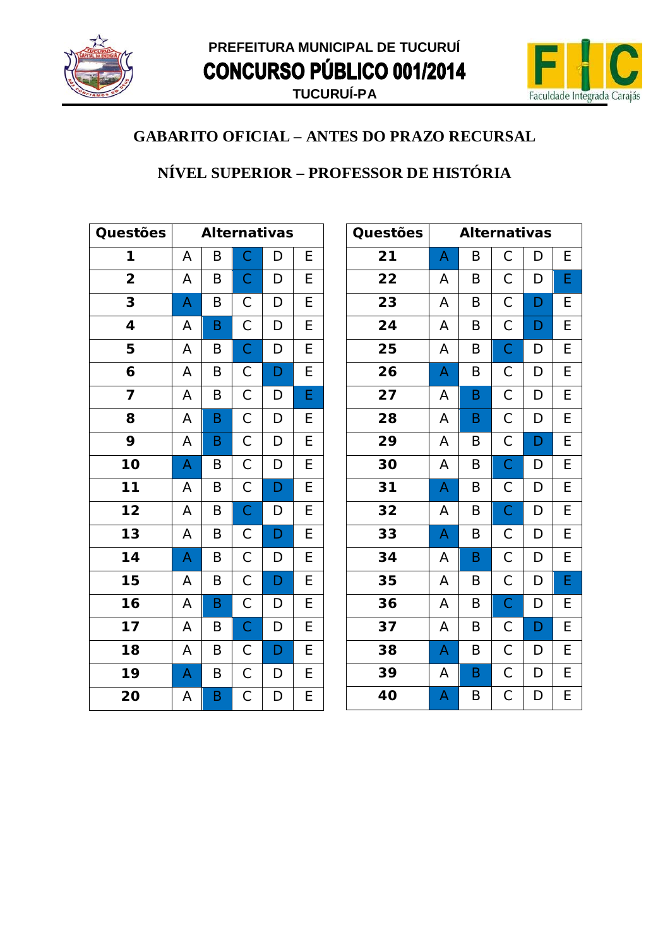



### NÍVEL SUPERIOR - PROFESSOR DE HISTÓRIA

| Questões                |   |   |                | <b>Alternativas</b> |                |
|-------------------------|---|---|----------------|---------------------|----------------|
| 1                       | A | B | $\mathsf{C}$   | D                   | E              |
| $\overline{\mathbf{2}}$ | A | B | $\mathsf C$    | D                   | E              |
| 3                       | A | B | $\mathsf C$    | D                   | E              |
| 4                       | A | B | $\mathsf{C}$   | D                   | E              |
| 5                       | A | B | $\overline{C}$ | D                   | E              |
| 6                       | A | B | $\mathsf{C}$   | D                   | E              |
| 7                       | A | B | $\mathsf{C}$   | D                   | E              |
| 8                       | A | B | $\overline{C}$ | D                   | E              |
| 9                       | A | B | $\mathsf{C}$   | $\mathsf{D}$        | E              |
| 10                      | A | B | $\mathsf{C}$   | D                   | E              |
| $11$                    | A | B | $\mathsf{C}$   | $\mathsf{D}$        | E              |
| $\overline{12}$         | A | B | $\overline{C}$ | D                   | E              |
| $\overline{13}$         | A | B | $\mathsf C$    | D                   | $\overline{E}$ |
| 14                      | A | B | $\mathsf{C}$   | D                   | E              |
| 15                      | Α | B | $\mathsf{C}$   | D                   | E              |
| 16                      | A | B | $\mathsf{C}$   | D                   | E              |
| 17                      | A | B | $\overline{C}$ | D                   | E              |
| 18                      | A | B | $\overline{C}$ | D                   | E              |
| 19                      | A | B | $\mathsf{C}$   | D                   | E              |
| 20                      | А | B | С              | D                   | E              |

| Questões |   | <b>Alternativas</b> |                |   |   |
|----------|---|---------------------|----------------|---|---|
| 21       | A | B                   | $\mathsf C$    | D | Ε |
| 22       | А | B                   | $\mathsf C$    | D | E |
| 23       | А | B                   | $\mathsf C$    | D | E |
| 24       | Α | B                   | $\mathsf C$    | D | E |
| 25       | A | B                   | $\overline{C}$ | D | E |
| 26       | A | B                   | $\mathsf C$    | D | E |
| 27       | Α | B                   | $\mathsf C$    | D | E |
| 28       | Α | B                   | $\mathsf C$    | D | Ε |
| 29       | A | B                   | $\mathsf C$    | D | E |
| 30       | A | B                   | $\overline{C}$ | D | Е |
| 31       | A | B                   | $\mathsf C$    | D | E |
| 32       | А | B                   | $\mathsf C$    | D | E |
| 33       | A | B                   | $\mathsf C$    | D | Ε |
| 34       | Α | B                   | $\mathsf C$    | D | E |
| 35       | Α | B                   | $\mathsf C$    | D | E |
| 36       | Α | B                   | $\mathsf C$    | D | E |
| 37       | Α | B                   | $\mathsf C$    | D | E |
| 38       | A | B                   | $\mathsf C$    | D | E |
| 39       | Α | B                   | $\mathsf C$    | D | E |
| 40       | A | B                   | $\mathsf C$    | D | E |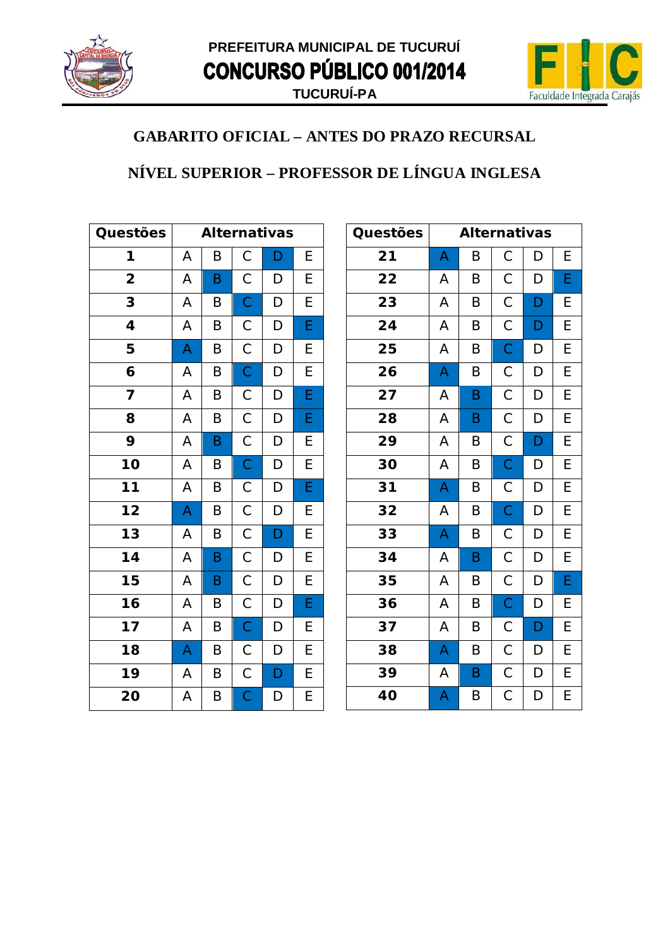



### NÍVEL SUPERIOR - PROFESSOR DE LÍNGUA INGLESA

| Questões                |   | <b>Alternativas</b> |                |                |                |  |
|-------------------------|---|---------------------|----------------|----------------|----------------|--|
| 1                       | A | Β                   | $\mathsf C$    | D              | E              |  |
| $\overline{\mathbf{2}}$ | A | B                   | $\mathsf C$    | D              | E              |  |
| 3                       | A | B                   | $\overline{C}$ | D              | $\overline{E}$ |  |
| 4                       | A | B                   | $\mathsf C$    | D              | E              |  |
| 5                       | A | B                   | $\mathsf{C}$   | D              | E              |  |
| 6                       | A | B                   | $\overline{C}$ | D              | E              |  |
| $\overline{\mathbf{z}}$ | A | B                   | $\mathsf{C}$   | D              | $\overline{E}$ |  |
| 8                       | A | B                   | $\mathsf C$    | D              | E              |  |
| 9                       | A | B                   | $\mathsf C$    | D              | E              |  |
| 10                      | A | B                   | $\overline{C}$ | D              | $\overline{E}$ |  |
| $\overline{11}$         | A | B                   | $\mathsf{C}$   | D              | E              |  |
| $\overline{12}$         | A | B                   | $\overline{C}$ | $\overline{D}$ | E              |  |
| $\overline{13}$         | A | B                   | $\mathsf{C}$   | D              | E              |  |
| 14                      | A | B                   | $\mathsf C$    | D              | E              |  |
| 15                      | A | B                   | $\mathsf{C}$   | D              | E              |  |
| 16                      | A | B                   | $\overline{C}$ | D              | E              |  |
| 17                      | A | B                   | $\overline{C}$ | D              | E              |  |
| 18                      | A | B                   | $\mathsf{C}$   | D              | E              |  |
| 19                      | A | B                   | $\overline{C}$ | D              | $\overline{E}$ |  |
| 20                      | A | B                   | $\mathsf C$    | D              | E              |  |

| Questões |   | <b>Alternativas</b> |                |             |   |
|----------|---|---------------------|----------------|-------------|---|
| 21       | A | B                   | $\mathsf C$    | D           | Ε |
| 22       | А | B                   | $\mathsf C$    | D           | E |
| 23       | Α | B                   | $\mathsf C$    | D           | E |
| 24       | Α | B                   | $\mathsf C$    | D           | E |
| 25       | A | B                   | $\overline{C}$ | D           | E |
| 26       | A | B                   | $\mathsf C$    | D           | E |
| 27       | Α | B                   | $\mathsf C$    | D           | E |
| 28       | Α | B                   | $\mathsf C$    | D           | E |
| 29       | A | B                   | $\overline{C}$ | D           | E |
| 30       | A | B                   | $\overline{C}$ | D           | E |
| 31       | A | B                   | $\mathsf C$    | D           | E |
| 32       | Α | B                   | $\mathsf{C}$   | D           | E |
| 33       | A | B                   | $\vec{c}$      | D           | E |
| 34       | A | B                   | $\overline{C}$ | D           | E |
| 35       | Α | B                   | $\mathsf C$    | D           | E |
| 36       | Α | B                   | $\mathsf{C}$   | D           | E |
| 37       | Α | B                   | $\mathsf C$    | D           | E |
| 38       | A | B                   | $\mathsf C$    | D           | E |
| 39       | A | B                   | $\mathsf C$    | $\mathsf D$ | E |
| 40       | A | B                   | $\mathsf C$    | D           | E |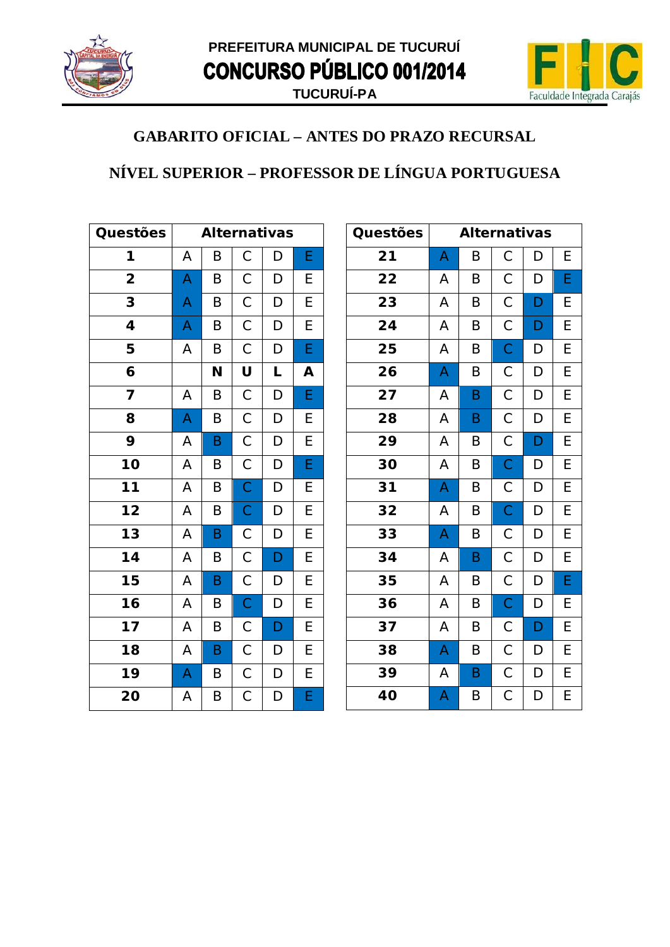



### NÍVEL SUPERIOR - PROFESSOR DE LÍNGUA PORTUGUESA

| Questões                 |   | <b>Alternativas</b> |                |                |                         |  |
|--------------------------|---|---------------------|----------------|----------------|-------------------------|--|
| 1                        | A | Β                   | $\mathsf C$    | D              | E                       |  |
| $\overline{\mathbf{2}}$  | A | B                   | $\mathsf C$    | $\mathsf D$    | E                       |  |
| 3                        | A | B                   | $\mathsf C$    | D              | E                       |  |
| 4                        | A | B                   | $\overline{C}$ | $\mathsf D$    | E                       |  |
| 5                        | A | B                   | $\overline{C}$ | D              | E                       |  |
| 6                        |   | N                   | U              | L              | A                       |  |
| 7                        | A | Β                   | $\overline{C}$ | D              | E                       |  |
| 8                        | A | B                   | $\overline{C}$ | D              | E                       |  |
| 9                        | A | B                   | $\overline{C}$ | D              | $\overline{E}$          |  |
| 10                       | A | B                   | $\mathsf{C}$   | D              | $\overline{\mathsf{E}}$ |  |
| $\overline{11}$          | A | B                   | $\mathsf{C}$   | D              | E                       |  |
| $\overline{\mathbf{12}}$ | A | B                   | $\mathsf{C}$   | $\overline{D}$ | $\overline{E}$          |  |
| $\overline{13}$          | A | B                   | $\mathsf C$    | D              | E                       |  |
| 14                       | A | B                   | $\mathsf{C}$   | D              | E                       |  |
| 15                       | A | B                   | $\mathsf{C}$   | D              | E                       |  |
| $\overline{16}$          | A | B                   | $\overline{C}$ | D              | $\overline{E}$          |  |
| 17                       | A | B                   | $\mathsf C$    | D              | $\overline{E}$          |  |
| 18                       | A | B                   | $\mathsf{C}$   | D              | $\overline{E}$          |  |
| 19                       | A | B                   | $\overline{C}$ | $\mathsf{D}$   | $\overline{E}$          |  |
| 20                       | A | Β                   | $\mathsf C$    | D              | E                       |  |

| Questões |   | <b>Alternativas</b> |                |   |   |
|----------|---|---------------------|----------------|---|---|
| 21       | A | B                   | $\mathsf C$    | D | E |
| 22       | Α | B                   | $\mathsf C$    | D | E |
| 23       | А | B                   | $\mathsf C$    | D | E |
| 24       | A | B                   | С              | D | Ε |
| 25       | A | B                   | $\overline{C}$ | D | Ε |
| 26       | A | B                   | $\mathsf C$    | D | E |
| 27       | А | B                   | $\mathsf C$    | D | E |
| 28       | A | B                   | $\mathsf C$    | D | E |
| 29       | A | B                   | $\mathsf C$    | D | E |
| 30       | A | B                   | $\overline{C}$ | D | E |
| 31       | A | $\sf B$             | $\mathsf C$    | D | E |
| 32       | А | B                   | $\mathsf C$    | D | E |
| 33       | A | B                   | $\mathsf{C}$   | D | E |
| 34       | A | B                   | $\mathsf{C}$   | D | E |
| 35       | A | B                   | $\mathsf C$    | D | E |
| 36       | Α | B                   | $\mathsf C$    | D | E |
| 37       | Α | B                   | $\mathsf C$    | D | E |
| 38       | A | B                   | $\mathsf C$    | D | E |
| 39       | A | B                   | $\mathsf C$    | D | E |
| 40       | A | B                   | $\mathsf C$    | D | E |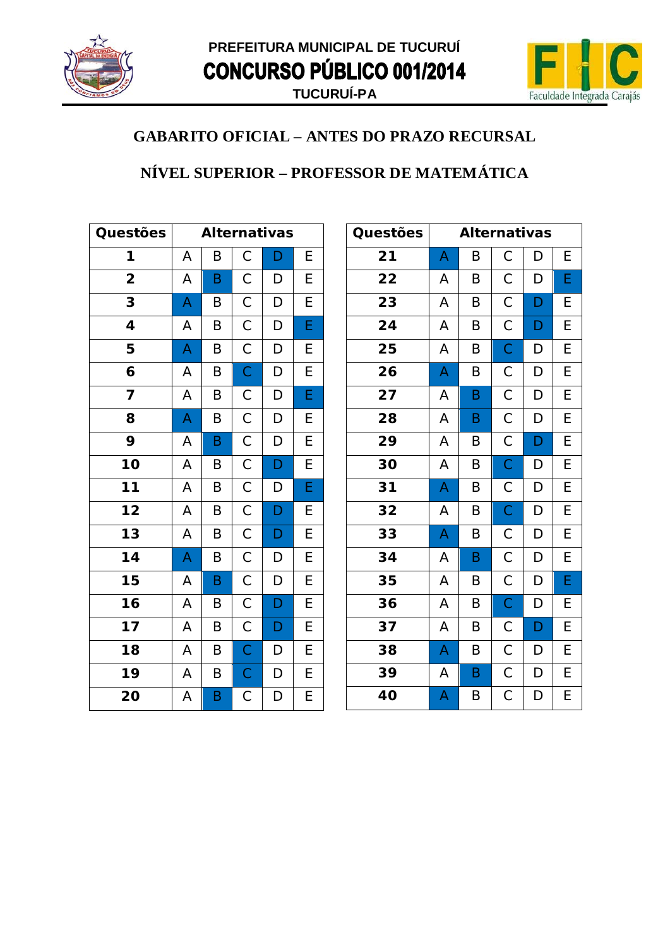



### NÍVEL SUPERIOR - PROFESSOR DE MATEMÁTICA

| Questões                |                         |   |                | <b>Alternativas</b> |                |
|-------------------------|-------------------------|---|----------------|---------------------|----------------|
| 1                       | A                       | Β | $\mathsf{C}$   | D                   | E              |
| $\overline{\mathbf{2}}$ | A                       | B | $\mathsf C$    | D                   | E              |
| 3                       | A                       | Β | $\mathsf C$    | D                   | E              |
| 4                       | A                       | B | $\overline{C}$ | D                   | $\overline{E}$ |
| 5                       | A                       | B | $\mathsf{C}$   | D                   | E              |
| 6                       | A                       | B | $\overline{C}$ | D                   | E              |
| 7                       | A                       | Β | $\mathsf{C}$   | D                   | E              |
| 8                       | $\overline{\mathsf{A}}$ | B | $\overline{C}$ | D                   | $\overline{E}$ |
| 9                       | A                       | B | $\overline{C}$ | D                   | $\overline{E}$ |
| 10                      | A                       | B | $\mathsf{C}$   | D                   | $\overline{E}$ |
| $\overline{11}$         | A                       | B | $\mathsf{C}$   | D                   | E              |
| $\overline{12}$         | A                       | B | $\overline{C}$ | D                   | E              |
| $\overline{13}$         | A                       | B | $\overline{C}$ | D                   | E              |
| 14                      | A                       | B | $\overline{C}$ | D                   | E              |
| 15                      | A                       | B | $\mathsf{C}$   | D                   | E              |
| $\overline{16}$         | A                       | B | $\mathsf{C}$   | D                   | $\overline{E}$ |
| 17                      | A                       | B | $\overline{C}$ | D                   | $\overline{E}$ |
| 18                      | A                       | B | $\overline{C}$ | D                   | E              |
| 19                      | A                       | B | $\mathsf{C}$   | $\mathsf{D}$        | E              |
| 20                      | Α                       | B | $\mathsf C$    | D                   | $\overline{E}$ |

| Questões |                         | <b>Alternativas</b> |                |   |   |
|----------|-------------------------|---------------------|----------------|---|---|
| 21       | A                       | B                   | $\mathsf C$    | D | Е |
| 22       | Α                       | B                   | $\mathsf C$    | D | E |
| 23       | А                       | $\sf B$             | $\mathsf C$    | D | E |
| 24       | A                       | B                   | $\mathsf C$    | D | E |
| 25       | A                       | B                   | $\overline{C}$ | D | E |
| 26       | A                       | B                   | $\mathsf C$    | D | E |
| 27       | Α                       | B                   | $\mathsf C$    | D | E |
| 28       | A                       | B                   | $\mathsf C$    | D | E |
| 29       | A                       | B                   | $\mathsf C$    | D | E |
| 30       | A                       | B                   | $\mathsf C$    | D | Е |
| 31       | A                       | B                   | $\mathsf C$    | D | E |
| 32       | A                       | B                   | $\mathsf C$    | D | E |
| 33       | A                       | B                   | $\mathsf C$    | D | Е |
| 34       | А                       | $\sf B$             | $\mathsf C$    | D | E |
| 35       | A                       | B                   | $\mathsf C$    | D | E |
| 36       | Α                       | B                   | $\mathsf C$    | D | E |
| 37       | A                       | B                   | $\mathsf C$    | D | Е |
| 38       | A                       | B                   | $\mathsf C$    | D | E |
| 39       | A                       | $\sf B$             | $\mathsf{C}$   | D | E |
| 40       | $\overline{\mathsf{A}}$ | B                   | $\mathsf C$    | D | E |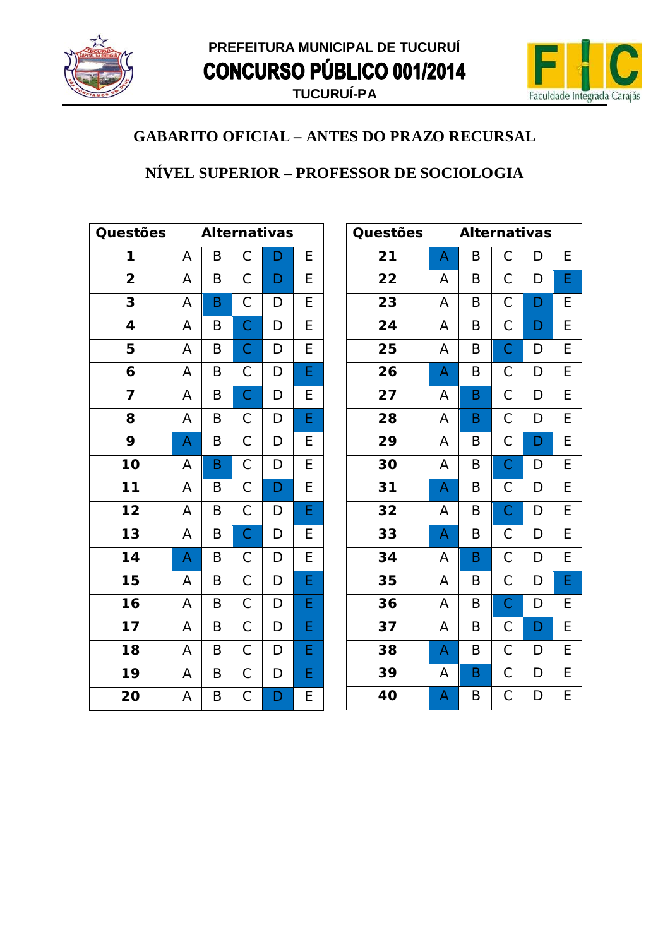



#### NÍVEL SUPERIOR - PROFESSOR DE SOCIOLOGIA

| Questões                | <b>Alternativas</b> |   |                |              |   |
|-------------------------|---------------------|---|----------------|--------------|---|
| 1                       | A                   | B | $\mathsf C$    | D            | E |
| $\overline{\mathbf{2}}$ | A                   | B | $\mathsf C$    | D            | E |
| 3                       | A                   | B | $\mathsf C$    | D            | E |
| 4                       | A                   | B | $\overline{C}$ | D            | E |
| 5                       | A                   | B | $\mathsf{C}$   | D            | E |
| 6                       | A                   | B | $\mathsf{C}$   | D            | Ė |
| 7                       | A                   | Β | $\mathsf{C}$   | D            | E |
| 8                       | A                   | B | $\mathsf{C}$   | D            | E |
| 9                       | A                   | B | $\mathsf{C}$   | D            | E |
| 10                      | Α                   | B | $\mathsf{C}$   | D            | E |
| $\overline{11}$         | A                   | B | $\mathsf{C}$   | D            | E |
| $\overline{12}$         | A                   | B | $\overline{C}$ | D            | E |
| 13                      | A                   | B | $\overline{C}$ | D            | E |
| 14                      | A                   | B | $\mathsf C$    | D            | E |
| 15                      | A                   | B | $\mathsf C$    | D            | E |
| 16                      | Α                   | B | $\mathsf{C}$   | D            | E |
| 17                      | A                   | B | $\mathsf C$    | D            | E |
| 18                      | A                   | B | $\overline{C}$ | D            | E |
| 19                      | Α                   | B | $\mathsf{C}$   | D            | E |
| 20                      | Α                   | Β | $\mathsf C$    | $\mathsf{D}$ | E |

| Questões | <b>Alternativas</b> |             |                |                |                         |
|----------|---------------------|-------------|----------------|----------------|-------------------------|
| 21       | A                   | B           | $\mathsf C$    | D              | Е                       |
| 22       | А                   | B           | $\mathsf C$    | D              | E                       |
| 23       | A                   | $\sf B$     | $\mathsf C$    | D              | E                       |
| 24       | A                   | B           | $\mathsf{C}$   | D              | E                       |
| 25       | A                   | B           | $\overline{C}$ | D              | E                       |
| 26       | A                   | B           | $\mathsf C$    | D              | E                       |
| 27       | Α                   | B           | $\mathsf{C}$   | D              | E                       |
| 28       | Α                   | B           | $\mathsf C$    | D              | E                       |
| 29       | A                   | B           | $\mathsf C$    | D              | E                       |
| 30       | A                   | B           | $\overline{C}$ | D              | E                       |
| 31       | A                   | B           | $\mathsf C$    | D              | E                       |
| 32       | Α                   | B           | $\mathsf{C}$   | D              | E                       |
| 33       | A                   | B           | $\overline{C}$ | D              | E                       |
| 34       | A                   | $\mathsf B$ | $\overline{C}$ | D              | E                       |
| 35       | Α                   | B           | $\mathsf C$    | D              | E                       |
| 36       | Α                   | B           | $\mathsf{C}$   | D              | Е                       |
| 37       | A                   | B           | $\mathsf C$    | D              | E                       |
| 38       | A                   | B           | $\mathsf{C}$   | D              | E                       |
| 39       | A                   | $\mathsf B$ | $\overline{C}$ | D              | E                       |
| 40       | A                   | B           | $\overline{C}$ | $\overline{D}$ | $\overline{\mathsf{E}}$ |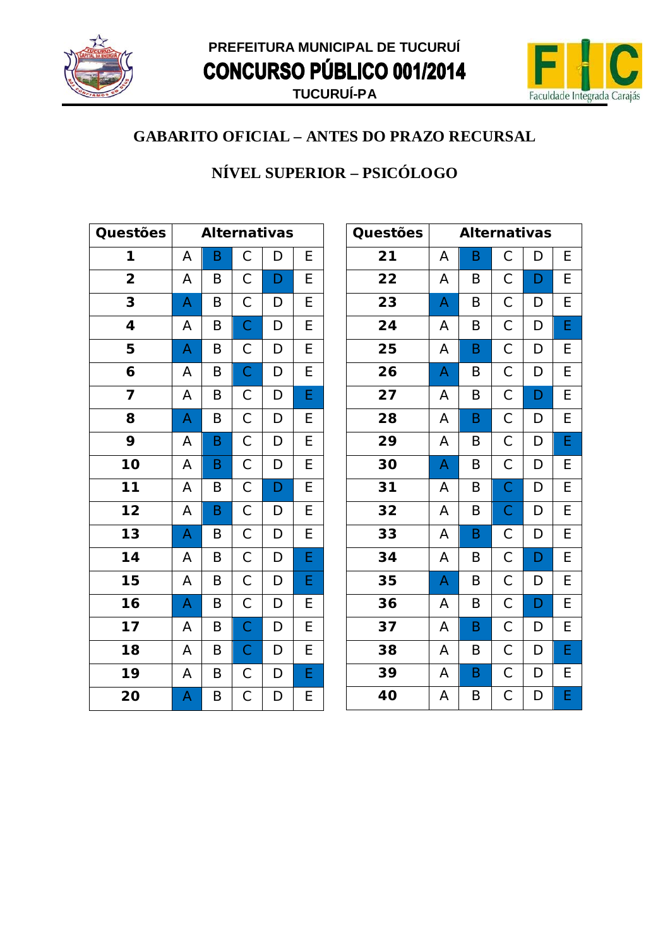



## NÍVEL SUPERIOR - PSICÓLOGO

| Questões                | <b>Alternativas</b> |   |                |              |                |
|-------------------------|---------------------|---|----------------|--------------|----------------|
| 1                       | A                   | B | $\mathsf C$    | D            | E              |
| $\overline{\mathbf{2}}$ | A                   | B | $\mathsf C$    | D            | E              |
| 3                       | A                   | B | $\mathsf{C}$   | D            | $\overline{E}$ |
| 4                       | A                   | B | $\overline{C}$ | D            | E              |
| 5                       | A                   | B | $\mathsf{C}$   | D            | E              |
| 6                       | A                   | B | $\overline{C}$ | D            | $\overline{E}$ |
| 7                       | A                   | B | $\mathsf{C}$   | D            | E              |
| 8                       | A                   | B | $\overline{C}$ | D            | E              |
| 9                       | A                   | B | $\overline{C}$ | $\mathsf{D}$ | E              |
| 10                      | A                   | B | $\overline{C}$ | D            | $\overline{E}$ |
| $11$                    | A                   | B | $\mathsf C$    | $\mathsf{D}$ | E              |
| $\overline{12}$         | A                   | B | $\overline{C}$ | D            | $\overline{E}$ |
| $\overline{13}$         | A                   | B | $\overline{C}$ | D            | $\overline{E}$ |
| 14                      | A                   | B | $\mathsf{C}$   | D            | E              |
| 15                      | A                   | B | $\mathsf{C}$   | $\mathsf{D}$ | E              |
| 16                      | A                   | B | $\mathsf{C}$   | D            | E              |
| $\overline{17}$         | A                   | B | $\overline{C}$ | D            | E              |
| 18                      | A                   | B | $\overline{C}$ | D            | $\overline{E}$ |
| 19                      | Α                   | B | $\mathsf{C}$   | D            | E              |
| 20                      | A                   | Β | $\mathsf C$    | D            | E              |

| Questões | <b>Alternativas</b> |             |                |   |   |
|----------|---------------------|-------------|----------------|---|---|
| 21       | Α                   | B           | С              | D | Е |
| 22       | А                   | B           | $\mathsf C$    | D | E |
| 23       | A                   | B           | С              | D | E |
| 24       | А                   | B           | $\mathsf{C}$   | D | E |
| 25       | A                   | $\mathsf B$ | $\mathsf C$    | D | E |
| 26       | A                   | B           | $\mathsf{C}$   | D | E |
| 27       | A                   | B           | $\mathsf C$    | D | E |
| 28       | Α                   | B           | $\mathsf C$    | D | E |
| 29       | Α                   | B           | $\mathsf C$    | D | E |
| 30       | A                   | B           | $\mathsf C$    | D | E |
| 31       | А                   | B           | $\mathsf{C}$   | D | E |
| 32       | А                   | B           | $\overline{C}$ | D | E |
| 33       | А                   | B           | $\mathsf{C}$   | D | E |
| 34       | A                   | B           | $\mathsf{C}$   | D | E |
| 35       | A                   | B           | $\mathsf C$    | D | E |
| 36       | А                   | B           | $\mathsf C$    | D | E |
| 37       | Α                   | B           | $\mathsf C$    | D | E |
| 38       | A                   | B           | $\mathsf{C}$   | D | E |
| 39       | A                   | $\sf B$     | $\mathsf C$    | D | E |
| 40       | A                   | B           | $\mathsf C$    | D | E |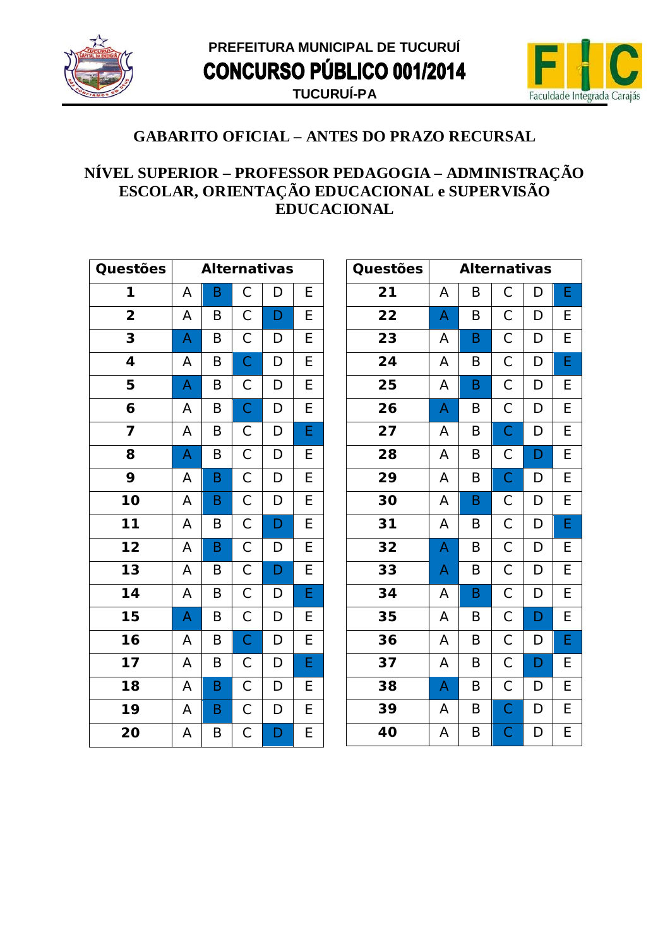



#### NÍVEL SUPERIOR - PROFESSOR PEDAGOGIA - ADMINISTRAÇÃO ESCOLAR, ORIENTAÇÃO EDUCACIONAL e SUPERVISÃO **EDUCACIONAL**

| Questões                | <b>Alternativas</b> |   |                |                                  |   |
|-------------------------|---------------------|---|----------------|----------------------------------|---|
| 1                       | A                   | B | $\mathsf C$    | D                                | E |
| $\overline{\mathbf{2}}$ | Α                   | Β | $\mathsf C$    | D                                | E |
| 3                       | A                   | B | $\mathsf C$    | D                                | E |
| 4                       | A                   | B | $\overline{C}$ | $\mathsf D$                      | E |
| 5                       | A                   | B | $\mathsf C$    | $\begin{array}{c} \n\end{array}$ | E |
| 6                       | A                   | B | $\overline{C}$ | $\mathsf D$                      | E |
| 7                       | A                   | Β | $\mathsf{C}$   | $\mathsf D$                      | E |
| 8                       | A                   | B | $\mathsf{C}$   | D                                | E |
| 9                       | A                   | B | $\mathsf C$    | $\mathsf D$                      | E |
| 10                      | A                   | B | $\overline{C}$ | D                                | E |
| $11$                    | Α                   | Β | $\mathsf C$    | D                                | E |
| $\overline{1}2$         | A                   | B | $\mathsf C$    | D                                | E |
| 13                      | A                   | B | $\mathsf C$    | D                                | E |
| 14                      | A                   | Β | $\mathsf C$    | D                                | E |
| 15                      | A                   | B | $\mathsf C$    | D                                | E |
| 16                      | A                   | Β | $\mathsf C$    | D                                | E |
| 17                      | A                   | B | $\mathsf C$    | D                                | E |
| 18                      | A                   | B | $\mathsf C$    | D                                | E |
| 19                      | A                   | B | $\mathsf C$    | D                                | E |
| 20                      | A                   | B | $\mathsf C$    | D                                | E |

| <b>Questões</b> |   | <b>Alternativas</b> |              |   |   |
|-----------------|---|---------------------|--------------|---|---|
| 21              | А | Β                   | С            | D | E |
| 22              | A | B                   | С            | D | Ε |
| 23              | A | B                   | $\mathsf C$  | D | E |
| 24              | Α | B                   | $\mathsf C$  | D | E |
| 25              | A | B                   | $\mathsf C$  | D | E |
| 26              | A | B                   | $\mathsf C$  | D | E |
| 27              | А | B                   | $\mathsf{C}$ | D | E |
| 28              | A | B                   | $\mathsf{C}$ | D | E |
| 29              | А | B                   | $\mathsf{C}$ | D | E |
| 30              | A | B                   | $\mathsf C$  | D | E |
| 31              | A | B                   | $\mathsf C$  | D | E |
| 32              | A | B                   | $\mathsf C$  | D | E |
| 33              | A | B                   | $\mathsf C$  | D | Е |
| 34              | A | B                   | $\mathsf C$  | D | E |
| 35              | A | B                   | $\mathsf C$  | D | E |
| 36              | A | B                   | $\mathsf C$  | D | E |
| 37              | А | B                   | $\mathsf C$  | D | E |
| 38              | A | B                   | $\mathsf{C}$ | D | E |
| 39              | A | B                   | $\mathsf{C}$ | D | E |
| 40              | A | B                   | $\mathsf C$  | D | E |